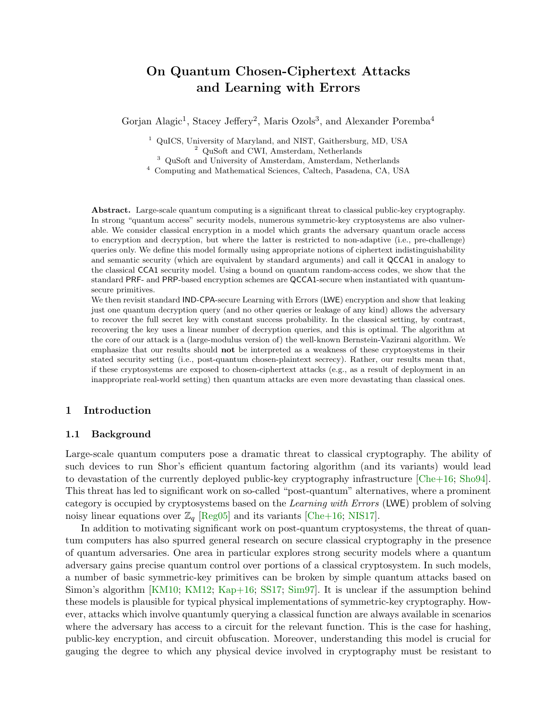# On Quantum Chosen-Ciphertext Attacks and Learning with Errors

Gorjan Alagic<sup>1</sup>, Stacey Jeffery<sup>2</sup>, Maris Ozols<sup>3</sup>, and Alexander Poremba<sup>4</sup>

<sup>1</sup> QuICS, University of Maryland, and NIST, Gaithersburg, MD, USA <sup>2</sup> QuSoft and CWI, Amsterdam, Netherlands

<sup>3</sup> QuSoft and University of Amsterdam, Amsterdam, Netherlands

 $^4\,$  Computing and Mathematical Sciences, Caltech, Pasadena, CA, USA

Abstract. Large-scale quantum computing is a significant threat to classical public-key cryptography. In strong "quantum access" security models, numerous symmetric-key cryptosystems are also vulnerable. We consider classical encryption in a model which grants the adversary quantum oracle access to encryption and decryption, but where the latter is restricted to non-adaptive (i.e., pre-challenge) queries only. We define this model formally using appropriate notions of ciphertext indistinguishability and semantic security (which are equivalent by standard arguments) and call it QCCA1 in analogy to the classical CCA1 security model. Using a bound on quantum random-access codes, we show that the standard PRF- and PRP-based encryption schemes are QCCA1-secure when instantiated with quantumsecure primitives.

We then revisit standard **IND-CPA-secure Learning with Errors (LWE)** encryption and show that leaking just one quantum decryption query (and no other queries or leakage of any kind) allows the adversary to recover the full secret key with constant success probability. In the classical setting, by contrast, recovering the key uses a linear number of decryption queries, and this is optimal. The algorithm at the core of our attack is a (large-modulus version of) the well-known Bernstein-Vazirani algorithm. We emphasize that our results should not be interpreted as a weakness of these cryptosystems in their stated security setting (i.e., post-quantum chosen-plaintext secrecy). Rather, our results mean that, if these cryptosystems are exposed to chosen-ciphertext attacks (e.g., as a result of deployment in an inappropriate real-world setting) then quantum attacks are even more devastating than classical ones.

## 1 Introduction

## 1.1 Background

Large-scale quantum computers pose a dramatic threat to classical cryptography. The ability of such devices to run Shor's efficient quantum factoring algorithm (and its variants) would lead to devastation of the currently deployed public-key cryptography infrastructure [\[Che+16;](#page-23-0) [Sho94\]](#page-24-0). This threat has led to significant work on so-called "post-quantum" alternatives, where a prominent category is occupied by cryptosystems based on the Learning with Errors (LWE) problem of solving noisy linear equations over  $\mathbb{Z}_q$  [\[Reg05\]](#page-24-1) and its variants [\[Che+16;](#page-23-0) [NIS17\]](#page-24-2).

In addition to motivating significant work on post-quantum cryptosystems, the threat of quantum computers has also spurred general research on secure classical cryptography in the presence of quantum adversaries. One area in particular explores strong security models where a quantum adversary gains precise quantum control over portions of a classical cryptosystem. In such models, a number of basic symmetric-key primitives can be broken by simple quantum attacks based on Simon's algorithm [\[KM10;](#page-24-3) [KM12;](#page-24-4) [Kap+16;](#page-23-1) [SS17;](#page-24-5) [Sim97\]](#page-24-6). It is unclear if the assumption behind these models is plausible for typical physical implementations of symmetric-key cryptography. However, attacks which involve quantumly querying a classical function are always available in scenarios where the adversary has access to a circuit for the relevant function. This is the case for hashing, public-key encryption, and circuit obfuscation. Moreover, understanding this model is crucial for gauging the degree to which any physical device involved in cryptography must be resistant to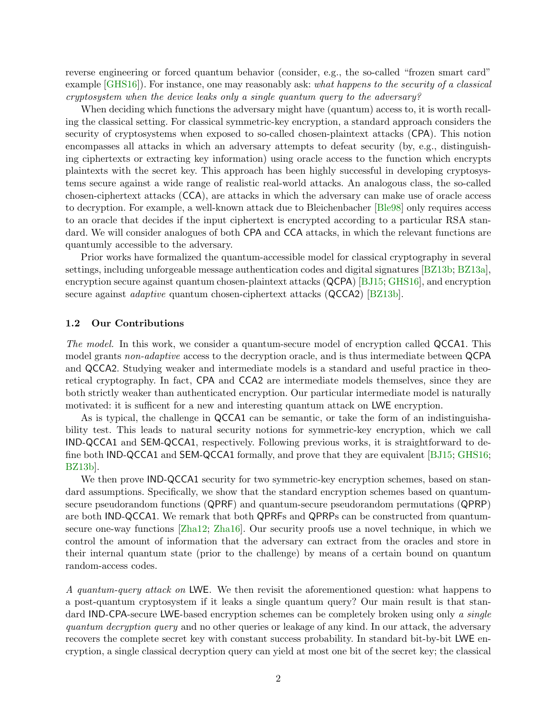reverse engineering or forced quantum behavior (consider, e.g., the so-called "frozen smart card" example  $[GHS16]$ . For instance, one may reasonably ask: what happens to the security of a classical cryptosystem when the device leaks only a single quantum query to the adversary?

When deciding which functions the adversary might have (quantum) access to, it is worth recalling the classical setting. For classical symmetric-key encryption, a standard approach considers the security of cryptosystems when exposed to so-called chosen-plaintext attacks (CPA). This notion encompasses all attacks in which an adversary attempts to defeat security (by, e.g., distinguishing ciphertexts or extracting key information) using oracle access to the function which encrypts plaintexts with the secret key. This approach has been highly successful in developing cryptosystems secure against a wide range of realistic real-world attacks. An analogous class, the so-called chosen-ciphertext attacks (CCA), are attacks in which the adversary can make use of oracle access to decryption. For example, a well-known attack due to Bleichenbacher [\[Ble98\]](#page-23-3) only requires access to an oracle that decides if the input ciphertext is encrypted according to a particular RSA standard. We will consider analogues of both CPA and CCA attacks, in which the relevant functions are quantumly accessible to the adversary.

Prior works have formalized the quantum-accessible model for classical cryptography in several settings, including unforgeable message authentication codes and digital signatures [\[BZ13b;](#page-23-4) [BZ13a\]](#page-23-5), encryption secure against quantum chosen-plaintext attacks (QCPA) [\[BJ15;](#page-23-6) [GHS16\]](#page-23-2), and encryption secure against *adaptive* quantum chosen-ciphertext attacks (QCCA2) [\[BZ13b\]](#page-23-4).

#### 1.2 Our Contributions

The model. In this work, we consider a quantum-secure model of encryption called QCCA1. This model grants non-adaptive access to the decryption oracle, and is thus intermediate between QCPA and QCCA2. Studying weaker and intermediate models is a standard and useful practice in theoretical cryptography. In fact, CPA and CCA2 are intermediate models themselves, since they are both strictly weaker than authenticated encryption. Our particular intermediate model is naturally motivated: it is sufficent for a new and interesting quantum attack on LWE encryption.

As is typical, the challenge in QCCA1 can be semantic, or take the form of an indistinguishability test. This leads to natural security notions for symmetric-key encryption, which we call IND-QCCA1 and SEM-QCCA1, respectively. Following previous works, it is straightforward to define both IND-QCCA1 and SEM-QCCA1 formally, and prove that they are equivalent [\[BJ15;](#page-23-6) [GHS16;](#page-23-2) [BZ13b\]](#page-23-4).

We then prove IND-QCCA1 security for two symmetric-key encryption schemes, based on standard assumptions. Specifically, we show that the standard encryption schemes based on quantumsecure pseudorandom functions (QPRF) and quantum-secure pseudorandom permutations (QPRP) are both IND-QCCA1. We remark that both QPRFs and QPRPs can be constructed from quantumsecure one-way functions [\[Zha12;](#page-24-7) [Zha16\]](#page-24-8). Our security proofs use a novel technique, in which we control the amount of information that the adversary can extract from the oracles and store in their internal quantum state (prior to the challenge) by means of a certain bound on quantum random-access codes.

A quantum-query attack on LWE. We then revisit the aforementioned question: what happens to a post-quantum cryptosystem if it leaks a single quantum query? Our main result is that standard IND-CPA-secure LWE-based encryption schemes can be completely broken using only a single quantum decryption query and no other queries or leakage of any kind. In our attack, the adversary recovers the complete secret key with constant success probability. In standard bit-by-bit LWE encryption, a single classical decryption query can yield at most one bit of the secret key; the classical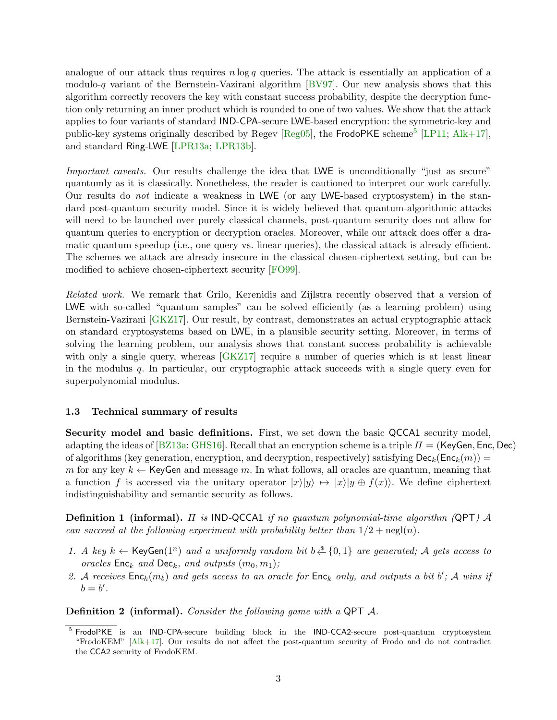analogue of our attack thus requires  $n \log q$  queries. The attack is essentially an application of a modulo-q variant of the Bernstein-Vazirani algorithm  $[BV97]$ . Our new analysis shows that this algorithm correctly recovers the key with constant success probability, despite the decryption function only returning an inner product which is rounded to one of two values. We show that the attack applies to four variants of standard IND-CPA-secure LWE-based encryption: the symmetric-key and public-key systems originally described by Regev  $[Reg05]$ , the FrodoPKE scheme<sup>[5](#page-2-0)</sup> [\[LP11;](#page-24-9) [Alk+17\]](#page-22-0), and standard Ring-LWE [\[LPR13a;](#page-24-10) [LPR13b\]](#page-24-11).

Important caveats. Our results challenge the idea that LWE is unconditionally "just as secure" quantumly as it is classically. Nonetheless, the reader is cautioned to interpret our work carefully. Our results do not indicate a weakness in LWE (or any LWE-based cryptosystem) in the standard post-quantum security model. Since it is widely believed that quantum-algorithmic attacks will need to be launched over purely classical channels, post-quantum security does not allow for quantum queries to encryption or decryption oracles. Moreover, while our attack does offer a dramatic quantum speedup (i.e., one query vs. linear queries), the classical attack is already efficient. The schemes we attack are already insecure in the classical chosen-ciphertext setting, but can be modified to achieve chosen-ciphertext security [\[FO99\]](#page-23-8).

Related work. We remark that Grilo, Kerenidis and Zijlstra recently observed that a version of LWE with so-called "quantum samples" can be solved efficiently (as a learning problem) using Bernstein-Vazirani [\[GKZ17\]](#page-23-9). Our result, by contrast, demonstrates an actual cryptographic attack on standard cryptosystems based on LWE, in a plausible security setting. Moreover, in terms of solving the learning problem, our analysis shows that constant success probability is achievable with only a single query, whereas  $GKZ17$  require a number of queries which is at least linear in the modulus  $q$ . In particular, our cryptographic attack succeeds with a single query even for superpolynomial modulus.

## 1.3 Technical summary of results

Security model and basic definitions. First, we set down the basic QCCA1 security model, adapting the ideas of  $[BZ13a; GHS16]$  $[BZ13a; GHS16]$  $[BZ13a; GHS16]$ . Recall that an encryption scheme is a triple  $\Pi = (KeyGen, Enc, Dec)$ of algorithms (key generation, encryption, and decryption, respectively) satisfying  $\mathsf{Dec}_k(\mathsf{Enc}_k(m)) =$ m for any key  $k \leftarrow$  KeyGen and message m. In what follows, all oracles are quantum, meaning that a function f is accessed via the unitary operator  $|x\rangle|y\rangle \mapsto |x\rangle|y \oplus f(x)\rangle$ . We define ciphertext indistinguishability and semantic security as follows.

**Definition 1 (informal).**  $\Pi$  is IND-QCCA1 if no quantum polynomial-time algorithm (QPT)  $\mathcal A$ can succeed at the following experiment with probability better than  $1/2 + \text{negl}(n)$ .

- 1. A key  $k \leftarrow \text{KeyGen}(1^n)$  and a uniformly random bit  $b \stackrel{s}{\leftarrow} \{0,1\}$  are generated; A gets access to oracles  $Enc_k$  and  $Dec_k$ , and outputs  $(m_0, m_1)$ ;
- 2. A receives  $Enc_k(m_b)$  and gets access to an oracle for  $Enc_k$  only, and outputs a bit  $b'$ ; A wins if  $b=b^{\prime}$ .

Definition 2 (informal). Consider the following game with a QPT A.

<span id="page-2-0"></span><sup>&</sup>lt;sup>5</sup> FrodoPKE is an IND-CPA-secure building block in the IND-CCA2-secure post-quantum cryptosystem "FrodoKEM" [\[Alk+17\]](#page-22-0). Our results do not affect the post-quantum security of Frodo and do not contradict the CCA2 security of FrodoKEM.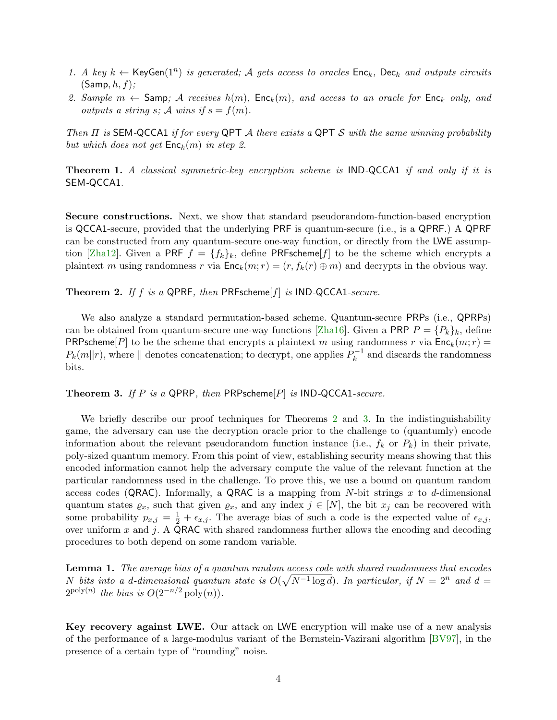- 1. A key  $k \leftarrow \text{KeyGen}(1^n)$  is generated; A gets access to oracles  $\text{Enc}_k$ ,  $\text{Dec}_k$  and outputs circuits  $(Samp, h, f);$
- 2. Sample  $m \leftarrow$  Samp; A receives  $h(m)$ ,  $Enc_k(m)$ , and access to an oracle for  $Enc_k$  only, and outputs a string s; A wins if  $s = f(m)$ .

Then  $\Pi$  is SEM-QCCA1 if for every QPT A there exists a QPT S with the same winning probability but which does not get  $\mathsf{Enc}_k(m)$  in step 2.

Theorem 1. A classical symmetric-key encryption scheme is IND-QCCA1 if and only if it is SEM-QCCA1.

Secure constructions. Next, we show that standard pseudorandom-function-based encryption is QCCA1-secure, provided that the underlying PRF is quantum-secure (i.e., is a QPRF.) A QPRF can be constructed from any quantum-secure one-way function, or directly from the LWE assump-tion [\[Zha12\]](#page-24-7). Given a PRF  $f = \{f_k\}_k$ , define PRFscheme[f] to be the scheme which encrypts a plaintext m using randomness r via  $Enc_k(m; r) = (r, f_k(r) \oplus m)$  and decrypts in the obvious way.

<span id="page-3-0"></span>**Theorem 2.** If f is a QPRF, then PRFscheme[f] is IND-QCCA1-secure.

We also analyze a standard permutation-based scheme. Quantum-secure PRPs (i.e., QPRPs) can be obtained from quantum-secure one-way functions [\[Zha16\]](#page-24-8). Given a PRP  $P = \{P_k\}_k$ , define PRPscheme[P] to be the scheme that encrypts a plaintext m using randomness r via  $Enc_k(m; r)$  =  $P_k(m||r)$ , where  $||$  denotes concatenation; to decrypt, one applies  $P_k^{-1}$  $k^{-1}$  and discards the randomness bits.

<span id="page-3-1"></span>**Theorem 3.** If P is a QPRP, then PRPscheme  $|P|$  is IND-QCCA1-secure.

We briefly describe our proof techniques for Theorems [2](#page-3-0) and [3.](#page-3-1) In the indistinguishability game, the adversary can use the decryption oracle prior to the challenge to (quantumly) encode information about the relevant pseudorandom function instance (i.e.,  $f_k$  or  $P_k$ ) in their private, poly-sized quantum memory. From this point of view, establishing security means showing that this encoded information cannot help the adversary compute the value of the relevant function at the particular randomness used in the challenge. To prove this, we use a bound on quantum random access codes (QRAC). Informally, a QRAC is a mapping from N-bit strings x to d-dimensional quantum states  $\varrho_x$ , such that given  $\varrho_x$ , and any index  $j \in [N]$ , the bit  $x_j$  can be recovered with some probability  $p_{x,j} = \frac{1}{2} + \epsilon_{x,j}$ . The average bias of such a code is the expected value of  $\epsilon_{x,j}$ , over uniform  $x$  and  $j$ . A QRAC with shared randomness further allows the encoding and decoding procedures to both depend on some random variable.

<span id="page-3-2"></span>**Lemma 1.** The average bias of a quantum random access code with shared randomness that encodes N bits into a d-dimensional quantum state is  $O(\sqrt{N^{-1} \log d})$ . In particular, if  $N = 2^n$  and  $d =$  $2^{\text{poly}(n)}$  the bias is  $O(2^{-n/2} \text{poly}(n)).$ 

Key recovery against LWE. Our attack on LWE encryption will make use of a new analysis of the performance of a large-modulus variant of the Bernstein-Vazirani algorithm [\[BV97\]](#page-23-7), in the presence of a certain type of "rounding" noise.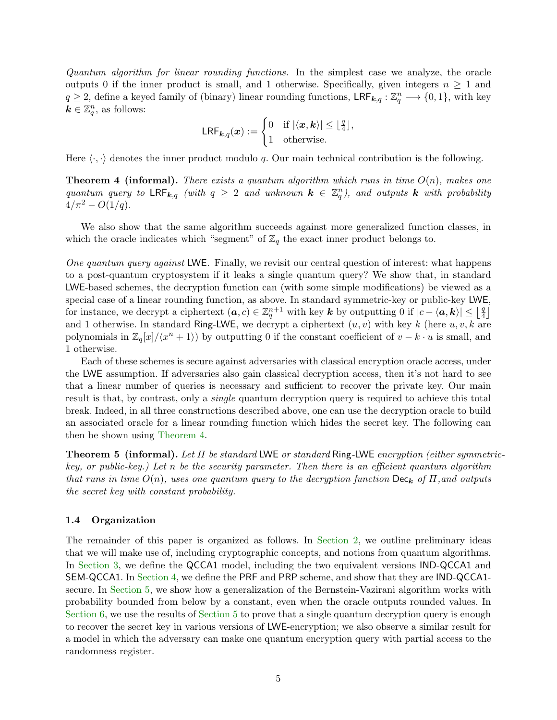Quantum algorithm for linear rounding functions. In the simplest case we analyze, the oracle outputs 0 if the inner product is small, and 1 otherwise. Specifically, given integers  $n \geq 1$  and  $q \geq 2$ , define a keyed family of (binary) linear rounding functions,  $\mathsf{LRF}_{k,q} : \mathbb{Z}_q^n \longrightarrow \{0,1\}$ , with key  $k \in \mathbb{Z}_q^n$ , as follows:

$$
\mathsf{LRF}_{\mathbf{k},q}(\boldsymbol{x}):=\begin{cases}0 & \text{if }|\langle \boldsymbol{x},\boldsymbol{k}\rangle|\leq \lfloor \frac{q}{4}\rfloor,\\1 & \text{otherwise.}\end{cases}
$$

<span id="page-4-0"></span>Here  $\langle \cdot, \cdot \rangle$  denotes the inner product modulo q. Our main technical contribution is the following.

**Theorem 4 (informal).** There exists a quantum algorithm which runs in time  $O(n)$ , makes one quantum query to  $\mathsf{LRF}_{k,q}$  (with  $q \geq 2$  and unknown  $k \in \mathbb{Z}_q^n$ ), and outputs k with probability  $4/\pi^2 - O(1/q)$ .

We also show that the same algorithm succeeds against more generalized function classes, in which the oracle indicates which "segment" of  $\mathbb{Z}_q$  the exact inner product belongs to.

One quantum query against LWE. Finally, we revisit our central question of interest: what happens to a post-quantum cryptosystem if it leaks a single quantum query? We show that, in standard LWE-based schemes, the decryption function can (with some simple modifications) be viewed as a special case of a linear rounding function, as above. In standard symmetric-key or public-key LWE, for instance, we decrypt a ciphertext  $(a, c) \in \mathbb{Z}_q^{n+1}$  with key k by outputting 0 if  $|c - \langle a, k \rangle| \leq \lfloor \frac{q}{4} \rfloor$  $\frac{q}{4}$ and 1 otherwise. In standard Ring-LWE, we decrypt a ciphertext  $(u, v)$  with key k (here  $u, v, k$  are polynomials in  $\mathbb{Z}_q[x]/\langle x^n + 1 \rangle$  by outputting 0 if the constant coefficient of  $v - k \cdot u$  is small, and 1 otherwise.

Each of these schemes is secure against adversaries with classical encryption oracle access, under the LWE assumption. If adversaries also gain classical decryption access, then it's not hard to see that a linear number of queries is necessary and sufficient to recover the private key. Our main result is that, by contrast, only a *single* quantum decryption query is required to achieve this total break. Indeed, in all three constructions described above, one can use the decryption oracle to build an associated oracle for a linear rounding function which hides the secret key. The following can then be shown using [Theorem](#page-4-0) [4.](#page-4-0)

**Theorem 5 (informal).** Let  $\Pi$  be standard LWE or standard Ring-LWE encryption (either symmetrickey, or public-key.) Let n be the security parameter. Then there is an efficient quantum algorithm that runs in time  $O(n)$ , uses one quantum query to the decryption function  $\text{Dec}_{\mathbf{k}}$  of  $\Pi$ , and outputs the secret key with constant probability.

## 1.4 Organization

The remainder of this paper is organized as follows. In [Section](#page-5-0) [2,](#page-5-0) we outline preliminary ideas that we will make use of, including cryptographic concepts, and notions from quantum algorithms. In [Section](#page-6-0) [3,](#page-6-0) we define the QCCA1 model, including the two equivalent versions IND-QCCA1 and SEM-QCCA1. In [Section](#page-8-0) [4,](#page-8-0) we define the PRF and PRP scheme, and show that they are IND-QCCA1 secure. In [Section](#page-14-0) [5,](#page-14-0) we show how a generalization of the Bernstein-Vazirani algorithm works with probability bounded from below by a constant, even when the oracle outputs rounded values. In [Section](#page-14-0) [6,](#page-17-0) we use the results of Section [5](#page-14-0) to prove that a single quantum decryption query is enough to recover the secret key in various versions of LWE-encryption; we also observe a similar result for a model in which the adversary can make one quantum encryption query with partial access to the randomness register.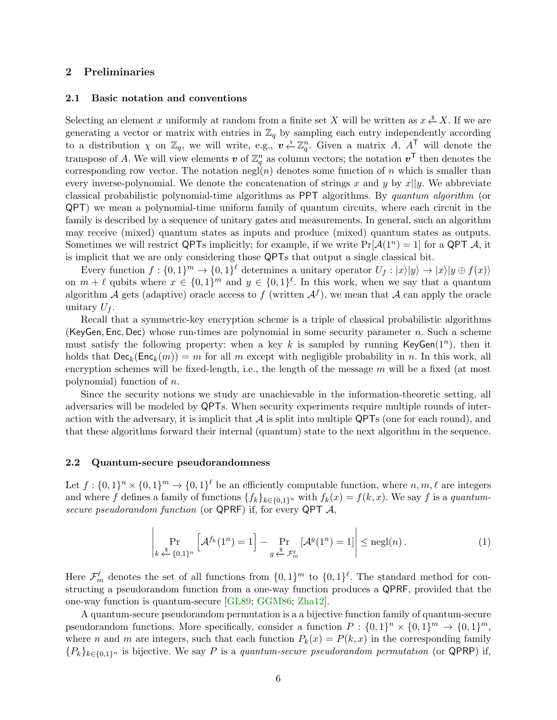## <span id="page-5-0"></span>2 Preliminaries

#### 2.1 Basic notation and conventions

Selecting an element x uniformly at random from a finite set X will be written as  $x \stackrel{\$}{\leftarrow} X$ . If we are generating a vector or matrix with entries in  $\mathbb{Z}_q$  by sampling each entry independently according to a distribution  $\chi$  on  $\mathbb{Z}_q$ , we will write, e.g.,  $v \stackrel{\chi}{\leftarrow} \mathbb{Z}_q^n$ . Given a matrix A,  $A^{\mathsf{T}}$  will denote the transpose of A. We will view elements  $v$  of  $\mathbb{Z}_q^n$  as column vectors; the notation  $v^{\mathsf{T}}$  then denotes the corresponding row vector. The notation negl(n) denotes some function of n which is smaller than every inverse-polynomial. We denote the concatenation of strings x and y by  $x||y$ . We abbreviate classical probabilistic polynomial-time algorithms as PPT algorithms. By quantum algorithm (or QPT) we mean a polynomial-time uniform family of quantum circuits, where each circuit in the family is described by a sequence of unitary gates and measurements. In general, such an algorithm may receive (mixed) quantum states as inputs and produce (mixed) quantum states as outputs. Sometimes we will restrict QPTs implicitly; for example, if we write  $Pr[\mathcal{A}(1^n) = 1]$  for a QPT  $\mathcal{A}$ , it is implicit that we are only considering those QPTs that output a single classical bit.

Every function  $f: \{0,1\}^m \to \{0,1\}^{\ell}$  determines a unitary operator  $U_f: |x\rangle|y\rangle \to |x\rangle|y \oplus f(x)\rangle$ on  $m + \ell$  qubits where  $x \in \{0,1\}^m$  and  $y \in \{0,1\}^{\ell}$ . In this work, when we say that a quantum algorithm A gets (adaptive) oracle access to f (written  $\mathcal{A}^f$ ), we mean that A can apply the oracle unitary  $U_f$ .

Recall that a symmetric-key encryption scheme is a triple of classical probabilistic algorithms (KeyGen, Enc, Dec) whose run-times are polynomial in some security parameter n. Such a scheme must satisfy the following property: when a key k is sampled by running KeyGen $(1^n)$ , then it holds that  $\textsf{Dec}_k(\textsf{Enc}_k(m)) = m$  for all m except with negligible probability in n. In this work, all encryption schemes will be fixed-length, i.e., the length of the message  $m$  will be a fixed (at most polynomial) function of n.

Since the security notions we study are unachievable in the information-theoretic setting, all adversaries will be modeled by QPTs. When security experiments require multiple rounds of interaction with the adversary, it is implicit that  $A$  is split into multiple QPTs (one for each round), and that these algorithms forward their internal (quantum) state to the next algorithm in the sequence.

#### 2.2 Quantum-secure pseudorandomness

Let  $f: \{0,1\}^n \times \{0,1\}^m \to \{0,1\}^{\ell}$  be an efficiently computable function, where  $n, m, \ell$  are integers and where f defines a family of functions  $\{f_k\}_{k\in\{0,1\}^n}$  with  $f_k(x) = f(k, x)$ . We say f is a quantumsecure pseudorandom function (or QPRF) if, for every QPT  $\mathcal{A}$ ,

$$
\left| \Pr_{k \stackrel{\$}{\leftarrow} \{0,1\}^n} \left[ \mathcal{A}^{f_k}(1^n) = 1 \right] - \Pr_{g \stackrel{\$}{\leftarrow} \mathcal{F}^\ell_m} \left[ \mathcal{A}^g(1^n) = 1 \right] \right| \leq \text{negl}(n). \tag{1}
$$

Here  $\mathcal{F}_m^{\ell}$  denotes the set of all functions from  $\{0,1\}^m$  to  $\{0,1\}^{\ell}$ . The standard method for constructing a pseudorandom function from a one-way function produces a QPRF, provided that the one-way function is quantum-secure [\[GL89;](#page-23-10) [GGM86;](#page-23-11) [Zha12\]](#page-24-7).

A quantum-secure pseudorandom permutation is a a bijective function family of quantum-secure pseudorandom functions. More specifically, consider a function  $P: \{0,1\}^n \times \{0,1\}^m \to \{0,1\}^m$ , where n and m are integers, such that each function  $P_k(x) = P(k, x)$  in the corresponding family  ${P_k}_{k\in\{0,1\}^n}$  is bijective. We say P is a quantum-secure pseudorandom permutation (or QPRP) if,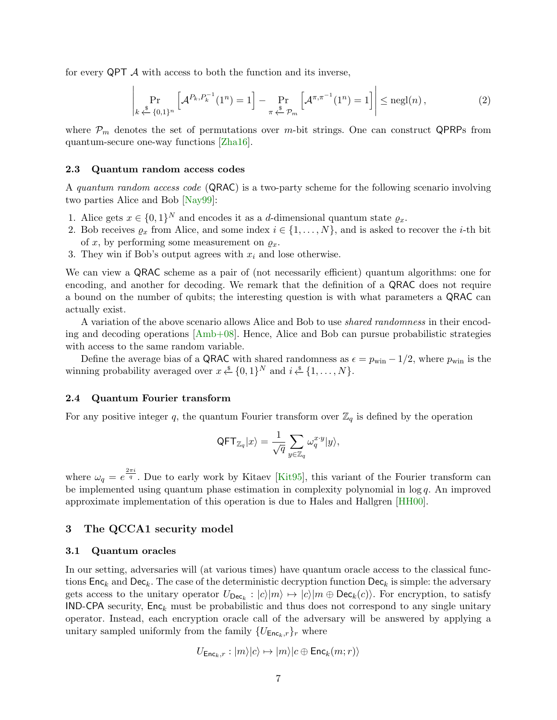for every  $\mathsf{QPT}\nightharpoondown \mathcal{A}$  with access to both the function and its inverse,

$$
\left| \Pr_{k \stackrel{\text{s}}{\leftarrow} \{0,1\}^n} \left[ \mathcal{A}^{P_k, P_k^{-1}}(1^n) = 1 \right] - \Pr_{\pi \stackrel{\text{s}}{\leftarrow} \mathcal{P}_m} \left[ \mathcal{A}^{\pi, \pi^{-1}}(1^n) = 1 \right] \right| \le \text{negl}(n), \tag{2}
$$

where  $P_m$  denotes the set of permutations over m-bit strings. One can construct QPRPs from quantum-secure one-way functions [\[Zha16\]](#page-24-8).

#### 2.3 Quantum random access codes

A quantum random access code (QRAC) is a two-party scheme for the following scenario involving two parties Alice and Bob [\[Nay99\]](#page-24-12):

- 1. Alice gets  $x \in \{0,1\}^N$  and encodes it as a d-dimensional quantum state  $\varrho_x$ .
- 2. Bob receives  $\varrho_x$  from Alice, and some index  $i \in \{1, \ldots, N\}$ , and is asked to recover the *i*-th bit of x, by performing some measurement on  $\varrho_x$ .
- 3. They win if Bob's output agrees with  $x_i$  and lose otherwise.

We can view a QRAC scheme as a pair of (not necessarily efficient) quantum algorithms: one for encoding, and another for decoding. We remark that the definition of a QRAC does not require a bound on the number of qubits; the interesting question is with what parameters a QRAC can actually exist.

A variation of the above scenario allows Alice and Bob to use shared randomness in their encoding and decoding operations [\[Amb+08\]](#page-22-1). Hence, Alice and Bob can pursue probabilistic strategies with access to the same random variable.

Define the average bias of a QRAC with shared randomness as  $\epsilon = p_{\text{win}} - 1/2$ , where  $p_{\text{win}}$  is the winning probability averaged over  $x \stackrel{\$}{\leftarrow} \{0,1\}^N$  and  $i \stackrel{\$}{\leftarrow} \{1, \ldots, N\}$ .

#### 2.4 Quantum Fourier transform

For any positive integer q, the quantum Fourier transform over  $\mathbb{Z}_q$  is defined by the operation

$$
\mathsf{QFT}_{\mathbb{Z}_q}|x\rangle=\frac{1}{\sqrt{q}}\sum_{y\in\mathbb{Z}_q}\omega_q^{x\cdot y}|y\rangle,
$$

where  $\omega_q = e^{\frac{2\pi i}{q}}$ . Due to early work by Kitaev [\[Kit95\]](#page-23-12), this variant of the Fourier transform can be implemented using quantum phase estimation in complexity polynomial in  $\log q$ . An improved approximate implementation of this operation is due to Hales and Hallgren [\[HH00\]](#page-23-13).

### <span id="page-6-0"></span>3 The QCCA1 security model

#### 3.1 Quantum oracles

In our setting, adversaries will (at various times) have quantum oracle access to the classical functions  $\mathsf{Enc}_k$  and  $\mathsf{Dec}_k$ . The case of the deterministic decryption function  $\mathsf{Dec}_k$  is simple: the adversary gets access to the unitary operator  $U_{\text{Dec}_k}: |c\rangle|m\rangle \mapsto |c\rangle|m \oplus \text{Dec}_k(c)\rangle$ . For encryption, to satisfy IND-CPA security,  $Enc_k$  must be probabilistic and thus does not correspond to any single unitary operator. Instead, each encryption oracle call of the adversary will be answered by applying a unitary sampled uniformly from the family  $\{U_{\mathsf{Enc}_k,r}\}_r$  where

$$
U_{\mathsf{Enc}_k,r}:|m\rangle|c\rangle\mapsto |m\rangle|c\oplus\mathsf{Enc}_k(m;r)\rangle
$$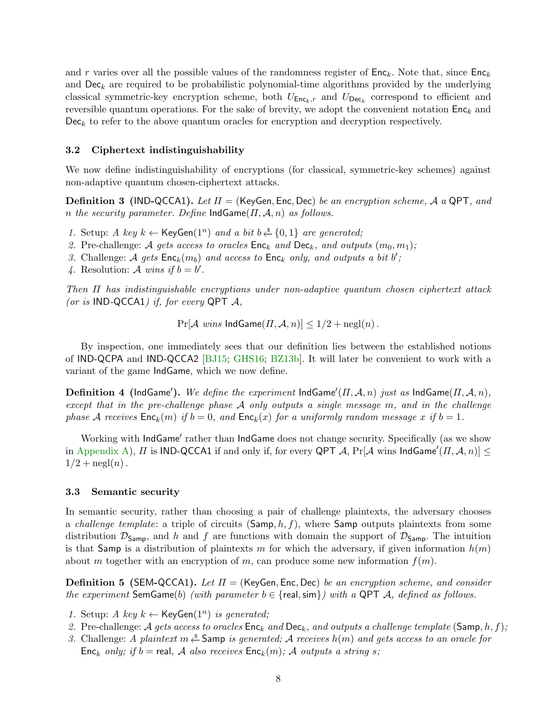and r varies over all the possible values of the randomness register of  $Enc_k$ . Note that, since  $Enc_k$ and  $\textsf{Dec}_k$  are required to be probabilistic polynomial-time algorithms provided by the underlying classical symmetric-key encryption scheme, both  $U_{\text{Enc}_k,r}$  and  $U_{\text{Dec}_k}$  correspond to efficient and reversible quantum operations. For the sake of brevity, we adopt the convenient notation  $Enc_k$  and  $Dec_k$  to refer to the above quantum oracles for encryption and decryption respectively.

#### 3.2 Ciphertext indistinguishability

We now define indistinguishability of encryptions (for classical, symmetric-key schemes) against non-adaptive quantum chosen-ciphertext attacks.

**Definition 3** (IND-QCCA1). Let  $\Pi$  = (KeyGen, Enc, Dec) be an encryption scheme, A a QPT, and n the security parameter. Define  $IndGame(\Pi, \mathcal{A}, n)$  as follows.

- 1. Setup: A key  $k \leftarrow \text{KeyGen}(1^n)$  and a bit  $b \stackrel{\$}{\leftarrow} \{0,1\}$  are generated;
- 2. Pre-challenge: A gets access to oracles  $\mathsf{Enc}_k$  and  $\mathsf{Dec}_k$ , and outputs  $(m_0, m_1)$ ;
- 3. Challenge: A gets  $Enc_k(m_b)$  and access to  $Enc_k$  only, and outputs a bit b';
- 4. Resolution: A wins if  $b = b'$ .

Then Π has indistinguishable encryptions under non-adaptive quantum chosen ciphertext attack (or is IND-QCCA1) if, for every QPT  $\mathcal{A}$ ,

<span id="page-7-1"></span> $Pr[\mathcal{A} \text{ wins } \text{IndGame}(H, \mathcal{A}, n)] \leq 1/2 + \text{negl}(n)$ .

By inspection, one immediately sees that our definition lies between the established notions of IND-QCPA and IND-QCCA2 [\[BJ15;](#page-23-6) [GHS16;](#page-23-2) [BZ13b\]](#page-23-4). It will later be convenient to work with a variant of the game IndGame, which we now define.

<span id="page-7-0"></span> ${\bf Definition \ 4 \ \ (IndGame').}$   $We \ define \ the \ experiment \ IndGame'(II,\mathcal{A},n) \ just \ as \ IndGame(II,\mathcal{A},n),$ except that in the pre-challenge phase  $A$  only outputs a single message  $m$ , and in the challenge phase A receives  $Enc_k(m)$  if  $b = 0$ , and  $Enc_k(x)$  for a uniformly random message x if  $b = 1$ .

Working with IndGame' rather than IndGame does not change security. Specifically (as we show in [Appendix](#page-25-0) [A\)](#page-25-0),  $\Pi$  is IND-QCCA1 if and only if, for every QPT  $\mathcal{A}$ , Pr[ $\mathcal{A}$  wins IndGame' $(\Pi, \mathcal{A}, n)] \leq$  $1/2 + \operatorname{negl}(n)$ .

#### 3.3 Semantic security

In semantic security, rather than choosing a pair of challenge plaintexts, the adversary chooses a *challenge template*: a triple of circuits  $(Samp, h, f)$ , where Samp outputs plaintexts from some distribution  $\mathcal{D}_{\mathsf{Samp}}$ , and h and f are functions with domain the support of  $\mathcal{D}_{\mathsf{Samp}}$ . The intuition is that Samp is a distribution of plaintexts m for which the adversary, if given information  $h(m)$ about m together with an encryption of m, can produce some new information  $f(m)$ .

**Definition 5 (SEM-QCCA1).** Let  $\Pi$  = (KeyGen, Enc. Dec) be an encryption scheme, and consider the experiment SemGame(b) (with parameter  $b \in \{real, \text{sim}\}\}\$  with a QPT A, defined as follows.

- 1. Setup: A key  $k \leftarrow \text{KeyGen}(1^n)$  is generated;
- 2. Pre-challenge: A gets access to oracles  $Enc_k$  and  $Dec_k$ , and outputs a challenge template (Samp, h, f);
- 3. Challenge: A plaintext m  $\stackrel{*}{\leftarrow}$  Samp is generated; A receives  $h(m)$  and gets access to an oracle for Enc<sub>k</sub> only; if  $b =$  real, A also receives  $Enc_k(m)$ ; A outputs a string s;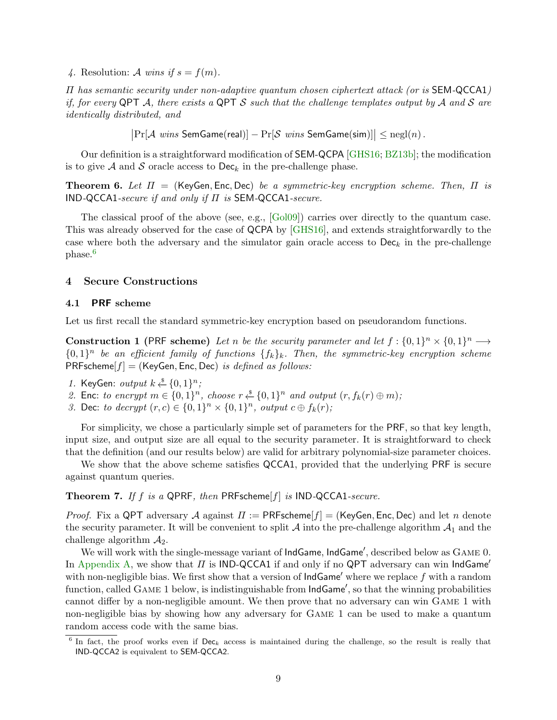4. Resolution: A wins if  $s = f(m)$ .

Π has semantic security under non-adaptive quantum chosen ciphertext attack (or is SEM-QCCA1) if, for every QPT A, there exists a QPT S such that the challenge templates output by A and S are identically distributed, and

 $\big|\Pr[\mathcal{A}] \text{ wins}$  SemGame(real)]  $-\Pr[\mathcal{S}] \text{ wins}$  SemGame(sim)] $\big|\leq \mathrm{negl}(n)$ .

Our definition is a straightforward modification of SEM-QCPA [\[GHS16;](#page-23-2) [BZ13b\]](#page-23-4); the modification is to give A and S oracle access to  $\text{Dec}_k$  in the pre-challenge phase.

**Theorem 6.** Let  $\Pi$  = (KeyGen, Enc, Dec) be a symmetric-key encryption scheme. Then,  $\Pi$  is IND-QCCA1-secure if and only if  $\Pi$  is SEM-QCCA1-secure.

The classical proof of the above (see, e.g., [\[Gol09\]](#page-23-14)) carries over directly to the quantum case. This was already observed for the case of QCPA by [\[GHS16\]](#page-23-2), and extends straightforwardly to the case where both the adversary and the simulator gain oracle access to  $\mathsf{Dec}_k$  in the pre-challenge phase.<sup>[6](#page-8-1)</sup>

## <span id="page-8-0"></span>4 Secure Constructions

#### 4.1 PRF scheme

Let us first recall the standard symmetric-key encryption based on pseudorandom functions.

**Construction 1** (PRF scheme) Let n be the security parameter and let  $f: \{0,1\}^n \times \{0,1\}^n \longrightarrow$  $\{0,1\}^n$  be an efficient family of functions  $\{f_k\}_k$ . Then, the symmetric-key encryption scheme  $PRFscheme[f] = (KeyGen, Enc, Dec)$  is defined as follows:

- 1. KeyGen: output  $k \stackrel{\$}{\leftarrow} \{0,1\}^n$ ;
- 2. Enc: to encrypt  $m \in \{0,1\}^n$ , choose  $r \stackrel{s}{\leftarrow} \{0,1\}^n$  and output  $(r, f_k(r) \oplus m)$ ;
- 3. Dec: to decrypt  $(r, c) \in \{0, 1\}^n \times \{0, 1\}^n$ , output  $c \oplus f_k(r)$ ;

For simplicity, we chose a particularly simple set of parameters for the PRF, so that key length, input size, and output size are all equal to the security parameter. It is straightforward to check that the definition (and our results below) are valid for arbitrary polynomial-size parameter choices.

We show that the above scheme satisfies QCCA1, provided that the underlying PRF is secure against quantum queries.

Theorem 7. If f is a QPRF, then PRFscheme[f] is IND-QCCA1-secure.

*Proof.* Fix a QPT adversary A against  $\Pi := \mathsf{PRFscheme}[f] = (\mathsf{KeyGen}, \mathsf{Enc}, \mathsf{Dec})$  and let n denote the security parameter. It will be convenient to split  $A$  into the pre-challenge algorithm  $A_1$  and the challenge algorithm  $\mathcal{A}_2$ .

We will work with the single-message variant of IndGame, IndGame', described below as GAME 0. In [Appendix](#page-25-0) [A,](#page-25-0) we show that  $\Pi$  is IND-QCCA1 if and only if no QPT adversary can win IndGame' with non-negligible bias. We first show that a version of  $IndGame'$  where we replace f with a random function, called GAME 1 below, is indistinguishable from  $IndGame'$ , so that the winning probabilities cannot differ by a non-negligible amount. We then prove that no adversary can win Game 1 with non-negligible bias by showing how any adversary for Game 1 can be used to make a quantum random access code with the same bias.

<span id="page-8-1"></span><sup>&</sup>lt;sup>6</sup> In fact, the proof works even if  $\mathsf{Dec}_k$  access is maintained during the challenge, so the result is really that IND-QCCA2 is equivalent to SEM-QCCA2.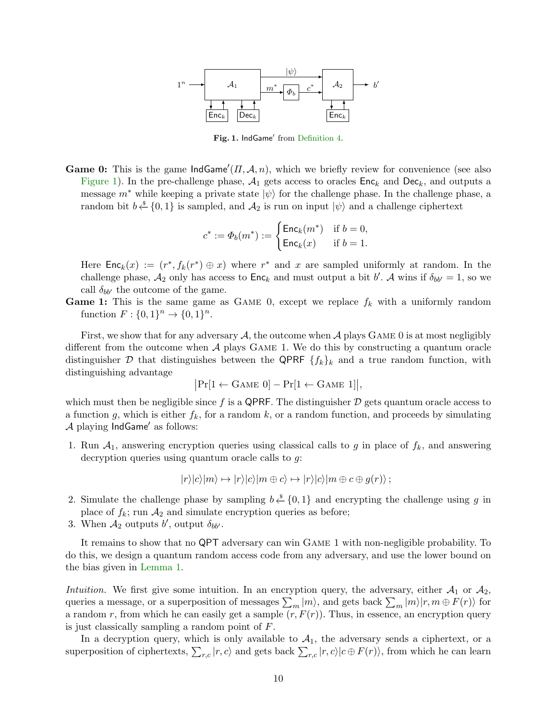

<span id="page-9-0"></span>Fig. 1. IndGame' from [Definition](#page-7-0) [4.](#page-7-0)

**Game 0:** This is the game  $IndGame'(II, \mathcal{A}, n)$ , which we briefly review for convenience (see also [Figure](#page-9-0) [1\)](#page-9-0). In the pre-challenge phase,  $A_1$  gets access to oracles  $Enc_k$  and  $Dec_k$ , and outputs a message  $m^*$  while keeping a private state  $|\psi\rangle$  for the challenge phase. In the challenge phase, a random bit  $b \stackrel{\$}{\leftarrow} \{0,1\}$  is sampled, and  $\mathcal{A}_2$  is run on input  $|\psi\rangle$  and a challenge ciphertext

$$
c^*:=\varPhi_b(m^*):=\begin{cases} \mathsf{Enc}_k(m^*) & \text{if } b=0,\\ \mathsf{Enc}_k(x) & \text{if } b=1. \end{cases}
$$

Here  $\mathsf{Enc}_k(x) := (r^*, f_k(r^*) \oplus x)$  where  $r^*$  and x are sampled uniformly at random. In the challenge phase,  $A_2$  only has access to  $\mathsf{Enc}_k$  and must output a bit b'. A wins if  $\delta_{bb'} = 1$ , so we call  $\delta_{bb'}$  the outcome of the game.

**Game 1:** This is the same game as GAME 0, except we replace  $f_k$  with a uniformly random function  $F: \{0,1\}^n \to \{0,1\}^n$ .

First, we show that for any adversary A, the outcome when A plays GAME 0 is at most negligibly different from the outcome when A plays Game 1. We do this by constructing a quantum oracle distinguisher D that distinguishes between the QPRF  $\{f_k\}_k$  and a true random function, with distinguishing advantage

$$
\big|\Pr[1 \leftarrow \mathrm{Game}\ 0] - \Pr[1 \leftarrow \mathrm{Game}\ 1]\big|,
$$

which must then be negligible since f is a QPRF. The distinguisher  $\mathcal D$  gets quantum oracle access to a function g, which is either  $f_k$ , for a random k, or a random function, and proceeds by simulating  $\mathcal A$  playing IndGame' as follows:

1. Run  $A_1$ , answering encryption queries using classical calls to g in place of  $f_k$ , and answering decryption queries using quantum oracle calls to g:

$$
|r\rangle|c\rangle|m\rangle \mapsto |r\rangle|c\rangle|m \oplus c\rangle \mapsto |r\rangle|c\rangle|m \oplus c \oplus g(r)\rangle ;
$$

- 2. Simulate the challenge phase by sampling  $b \stackrel{s}{\leftarrow} \{0,1\}$  and encrypting the challenge using g in place of  $f_k$ ; run  $\mathcal{A}_2$  and simulate encryption queries as before;
- 3. When  $A_2$  outputs b', output  $\delta_{bb'}$ .

It remains to show that no QPT adversary can win Game 1 with non-negligible probability. To do this, we design a quantum random access code from any adversary, and use the lower bound on the bias given in [Lemma](#page-3-2) [1.](#page-3-2)

Intuition. We first give some intuition. In an encryption query, the adversary, either  $\mathcal{A}_1$  or  $\mathcal{A}_2$ , queries a message, or a superposition of messages  $\sum_m |m\rangle$ , and gets back  $\sum_m |m\rangle |r, m \oplus F(r)\rangle$  for a random r, from which he can easily get a sample  $(r, F(r))$ . Thus, in essence, an encryption query is just classically sampling a random point of F.

In a decryption query, which is only available to  $A_1$ , the adversary sends a ciphertext, or a superposition of ciphertexts,  $\sum_{r,c} |r, c\rangle$  and gets back  $\sum_{r,c} |r, c\rangle |c \oplus F(r)\rangle$ , from which he can learn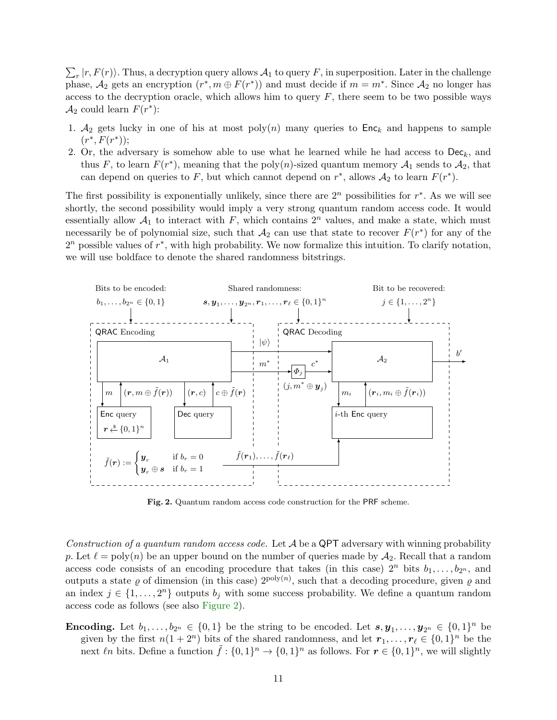$\sum_{r} |r, F(r) \rangle$ . Thus, a decryption query allows  $\mathcal{A}_1$  to query F, in superposition. Later in the challenge phase,  $\mathcal{A}_2$  gets an encryption  $(r^*, m \oplus F(r^*))$  and must decide if  $m = m^*$ . Since  $\mathcal{A}_2$  no longer has access to the decryption oracle, which allows him to query  $F$ , there seem to be two possible ways  $\mathcal{A}_2$  could learn  $F(r^*)$ :

- 1.  $A_2$  gets lucky in one of his at most poly $(n)$  many queries to Enc<sub>k</sub> and happens to sample  $(r^*, F(r^*));$
- 2. Or, the adversary is somehow able to use what he learned while he had access to  $\mathsf{Dec}_k$ , and thus F, to learn  $F(r^*)$ , meaning that the poly $(n)$ -sized quantum memory  $\mathcal{A}_1$  sends to  $\mathcal{A}_2$ , that can depend on queries to F, but which cannot depend on  $r^*$ , allows  $\mathcal{A}_2$  to learn  $F(r^*)$ .

The first possibility is exponentially unlikely, since there are  $2<sup>n</sup>$  possibilities for  $r^*$ . As we will see shortly, the second possibility would imply a very strong quantum random access code. It would essentially allow  $A_1$  to interact with F, which contains  $2^n$  values, and make a state, which must necessarily be of polynomial size, such that  $A_2$  can use that state to recover  $F(r^*)$  for any of the  $2<sup>n</sup>$  possible values of  $r^*$ , with high probability. We now formalize this intuition. To clarify notation, we will use boldface to denote the shared randomness bitstrings.



<span id="page-10-0"></span>Fig. 2. Quantum random access code construction for the PRF scheme.

Construction of a quantum random access code. Let  $A$  be a QPT adversary with winning probability p. Let  $\ell = \text{poly}(n)$  be an upper bound on the number of queries made by  $\mathcal{A}_2$ . Recall that a random access code consists of an encoding procedure that takes (in this case)  $2^n$  bits  $b_1, \ldots, b_{2^n}$ , and outputs a state  $\varrho$  of dimension (in this case)  $2^{poly(n)}$ , such that a decoding procedure, given  $\varrho$  and an index  $j \in \{1, \ldots, 2^n\}$  outputs  $b_j$  with some success probability. We define a quantum random access code as follows (see also [Figure](#page-10-0) [2\)](#page-10-0).

**Encoding.** Let  $b_1, \ldots, b_{2^n} \in \{0,1\}$  be the string to be encoded. Let  $s, y_1, \ldots, y_{2^n} \in \{0,1\}^n$  be given by the first  $n(1+2^n)$  bits of the shared randomness, and let  $r_1, \ldots, r_\ell \in \{0, 1\}^n$  be the next  $\ell n$  bits. Define a function  $\tilde{f} : \{0,1\}^n \to \{0,1\}^n$  as follows. For  $r \in \{0,1\}^n$ , we will slightly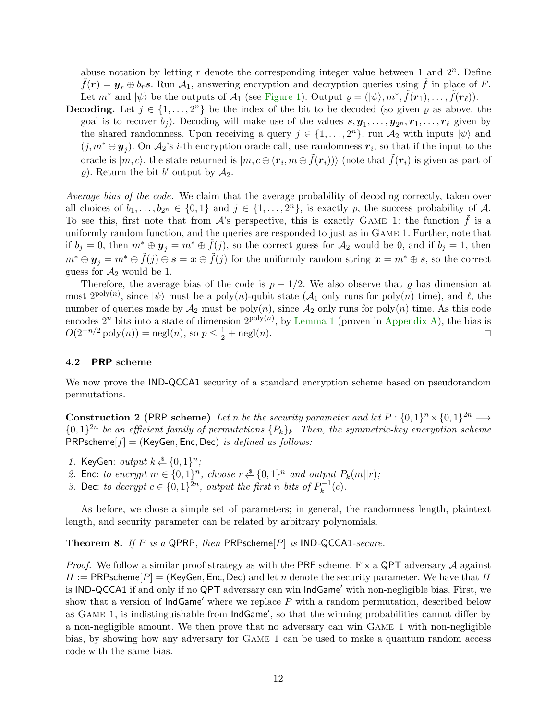abuse notation by letting  $r$  denote the corresponding integer value between 1 and  $2^n$ . Define  $\tilde{f}(r) = y_r \oplus b_r s$ . Run  $\mathcal{A}_1$ , answering encryption and decryption queries using  $\tilde{f}$  in place of F. Let  $m^*$  and  $|\psi\rangle$  be the outputs of  $\mathcal{A}_1$  (see [Figure](#page-9-0) [1\)](#page-9-0). Output  $\varrho = (|\psi\rangle, m^*, \tilde{f}(r_1), \ldots, \tilde{f}(r_\ell)).$ 

**Decoding.** Let  $j \in \{1, ..., 2^n\}$  be the index of the bit to be decoded (so given  $\varrho$  as above, the goal is to recover  $b_j$ ). Decoding will make use of the values  $s, y_1, \ldots, y_{2^n}, r_1, \ldots, r_\ell$  given by the shared randomness. Upon receiving a query  $j \in \{1, \ldots, 2<sup>n</sup>\}$ , run  $\mathcal{A}_2$  with inputs  $|\psi\rangle$  and  $(j, m^* \oplus y_j)$ . On  $\mathcal{A}_2$ 's *i*-th encryption oracle call, use randomness  $r_i$ , so that if the input to the oracle is  $|m,c\rangle$ , the state returned is  $|m,c\oplus(\bm{r}_i,m\oplus\tilde{f}(\bm{r}_i))\rangle$  (note that  $\tilde{f}(\bm{r}_i)$  is given as part of  $\varrho$ ). Return the bit b' output by  $\mathcal{A}_2$ .

Average bias of the code. We claim that the average probability of decoding correctly, taken over all choices of  $b_1, \ldots, b_{2^n} \in \{0, 1\}$  and  $j \in \{1, \ldots, 2^n\}$ , is exactly p, the success probability of A. To see this, first note that from  $\mathcal{A}$ 's perspective, this is exactly GAME 1: the function f is a uniformly random function, and the queries are responded to just as in Game 1. Further, note that if  $b_j = 0$ , then  $m^* \oplus y_j = m^* \oplus f(j)$ , so the correct guess for  $\mathcal{A}_2$  would be 0, and if  $b_j = 1$ , then  $m^* \oplus y_j = m^* \oplus \tilde{f}(j) \oplus s = x \oplus \tilde{f}(j)$  for the uniformly random string  $x = m^* \oplus s$ , so the correct guess for  $\mathcal{A}_2$  would be 1.

Therefore, the average bias of the code is  $p - 1/2$ . We also observe that  $\varrho$  has dimension at most  $2^{\text{poly}(n)}$ , since  $|\psi\rangle$  must be a poly $(n)$ -qubit state  $(\mathcal{A}_1$  only runs for poly $(n)$  time), and  $\ell$ , the number of queries made by  $\mathcal{A}_2$  must be poly $(n)$ , since  $\mathcal{A}_2$  only runs for poly $(n)$  time. As this code encodes  $2^n$  bits into a state of dimension  $2^{poly(n)}$ , by [Lemma](#page-3-2) [1](#page-3-2) (proven in [Appendix](#page-24-13) [A\)](#page-24-13), the bias is  $O(2^{-n/2} \text{poly}(n)) = \text{negl}(n)$ , so  $p \le \frac{1}{2} + \text{negl}(n)$ .

## 4.2 PRP scheme

We now prove the **IND-QCCA1** security of a standard encryption scheme based on pseudorandom permutations.

**Construction 2** (PRP scheme) Let n be the security parameter and let  $P: \{0,1\}^n \times \{0,1\}^{2n} \longrightarrow$  $\{0,1\}^{2n}$  be an efficient family of permutations  $\{P_k\}_k$ . Then, the symmetric-key encryption scheme  $PRPscheme[f] = (KeyGen, Enc, Dec)$  is defined as follows:

- 1. KeyGen: output  $k \stackrel{\$}{\leftarrow} \{0,1\}^n$ ;
- 2. Enc: to encrypt  $m \in \{0,1\}^n$ , choose  $r \stackrel{\$}{\leftarrow} \{0,1\}^n$  and output  $P_k(m||r)$ ;
- 3. Dec: to decrypt  $c \in \{0,1\}^{2n}$ , output the first n bits of  $P_k^{-1}$  $k^{-1}(c)$ .

As before, we chose a simple set of parameters; in general, the randomness length, plaintext length, and security parameter can be related by arbitrary polynomials.

**Theorem 8.** If P is a QPRP, then PRPscheme $[P]$  is IND-QCCA1-secure.

*Proof.* We follow a similar proof strategy as with the PRF scheme. Fix a QPT adversary  $A$  against  $\Pi := \mathsf{PRPscheme}[P] = (\mathsf{KeyGen}, \mathsf{Enc}, \mathsf{Dec})$  and let n denote the security parameter. We have that  $\Pi$ is IND-QCCA1 if and only if no QPT adversary can win IndGame' with non-negligible bias. First, we show that a version of  $IndGame'$  where we replace P with a random permutation, described below as  $G$ AME 1, is indistinguishable from  $IndGame'$ , so that the winning probabilities cannot differ by a non-negligible amount. We then prove that no adversary can win Game 1 with non-negligible bias, by showing how any adversary for Game 1 can be used to make a quantum random access code with the same bias.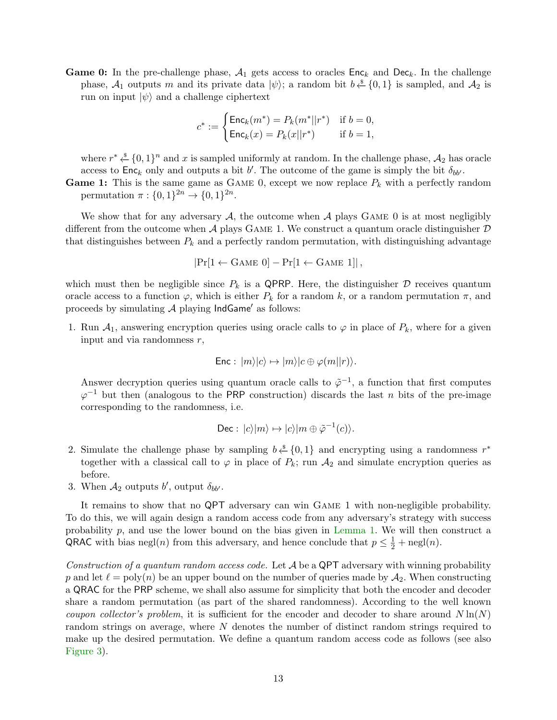**Game 0:** In the pre-challenge phase,  $A_1$  gets access to oracles  $Enc_k$  and  $Dec_k$ . In the challenge phase,  $\mathcal{A}_1$  outputs m and its private data  $|\psi\rangle$ ; a random bit  $b \stackrel{s}{\leftarrow} \{0,1\}$  is sampled, and  $\mathcal{A}_2$  is run on input  $|\psi\rangle$  and a challenge ciphertext

$$
c^* := \begin{cases} \mathsf{Enc}_k(m^*) = P_k(m^* || r^*) & \text{if } b = 0, \\ \mathsf{Enc}_k(x) = P_k(x || r^*) & \text{if } b = 1, \end{cases}
$$

where  $r^* \stackrel{\$}{\leftarrow} \{0,1\}^n$  and x is sampled uniformly at random. In the challenge phase,  $\mathcal{A}_2$  has oracle access to  $Enc_k$  only and outputs a bit b'. The outcome of the game is simply the bit  $\delta_{bb'}$ .

**Game 1:** This is the same game as GAME 0, except we now replace  $P_k$  with a perfectly random permutation  $\pi: \{0,1\}^{2n} \to \{0,1\}^{2n}$ .

We show that for any adversary  $A$ , the outcome when  $A$  plays GAME 0 is at most negligibly different from the outcome when A plays GAME 1. We construct a quantum oracle distinguisher  $D$ that distinguishes between  $P_k$  and a perfectly random permutation, with distinguishing advantage

$$
|\Pr[1 \leftarrow \text{GAME 0}] - \Pr[1 \leftarrow \text{GAME 1}]|,
$$

which must then be negligible since  $P_k$  is a QPRP. Here, the distinguisher  $\mathcal D$  receives quantum oracle access to a function  $\varphi$ , which is either  $P_k$  for a random k, or a random permutation  $\pi$ , and proceeds by simulating  $A$  playing  $IndGame'$  as follows:

1. Run  $A_1$ , answering encryption queries using oracle calls to  $\varphi$  in place of  $P_k$ , where for a given input and via randomness  $r$ ,

$$
\mathsf{Enc}: |m\rangle|c\rangle \mapsto |m\rangle|c \oplus \varphi(m||r)\rangle.
$$

Answer decryption queries using quantum oracle calls to  $\tilde{\varphi}^{-1}$ , a function that first computes  $\varphi^{-1}$  but then (analogous to the PRP construction) discards the last n bits of the pre-image corresponding to the randomness, i.e.

$$
\text{Dec}: |c\rangle |m\rangle \mapsto |c\rangle |m \oplus \tilde{\varphi}^{-1}(c)\rangle.
$$

- 2. Simulate the challenge phase by sampling  $b \stackrel{\hspace{0.1em}\mathsf{\scriptscriptstyle\$}}{\leftarrow} \{0,1\}$  and encrypting using a randomness  $r^*$ together with a classical call to  $\varphi$  in place of  $P_k$ ; run  $\mathcal{A}_2$  and simulate encryption queries as before.
- 3. When  $A_2$  outputs b', output  $\delta_{bb'}$ .

It remains to show that no QPT adversary can win Game 1 with non-negligible probability. To do this, we will again design a random access code from any adversary's strategy with success probability p, and use the lower bound on the bias given in [Lemma](#page-3-2) [1.](#page-3-2) We will then construct a QRAC with bias negl(*n*) from this adversary, and hence conclude that  $p \leq \frac{1}{2} + \text{negl}(n)$ .

Construction of a quantum random access code. Let  $A$  be a QPT adversary with winning probability p and let  $\ell = \text{poly}(n)$  be an upper bound on the number of queries made by  $\mathcal{A}_2$ . When constructing a QRAC for the PRP scheme, we shall also assume for simplicity that both the encoder and decoder share a random permutation (as part of the shared randomness). According to the well known coupon collector's problem, it is sufficient for the encoder and decoder to share around  $N \ln(N)$ random strings on average, where N denotes the number of distinct random strings required to make up the desired permutation. We define a quantum random access code as follows (see also [Figure](#page-13-0) [3\)](#page-13-0).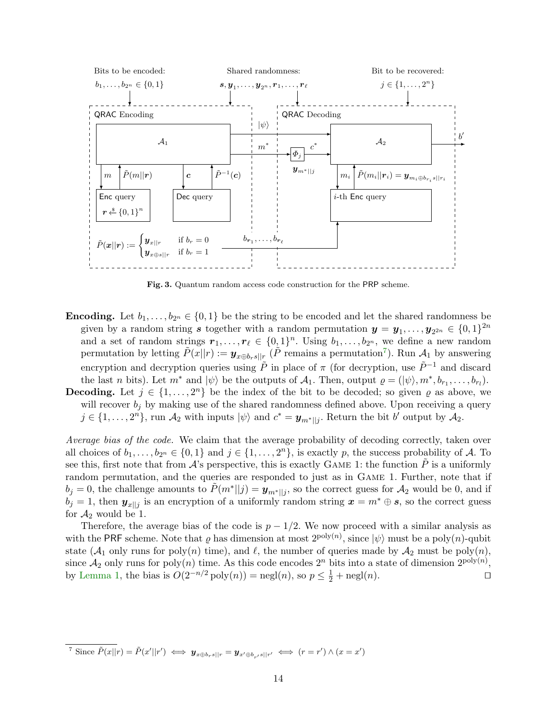

<span id="page-13-0"></span>Fig. 3. Quantum random access code construction for the PRP scheme.

- **Encoding.** Let  $b_1, \ldots, b_{2n} \in \{0,1\}$  be the string to be encoded and let the shared randomness be given by a random string s together with a random permutation  $y = y_1, \ldots, y_{2^{2n}} \in \{0,1\}^{2n}$ and a set of random strings  $r_1, \ldots, r_\ell \in \{0, 1\}^n$ . Using  $b_1, \ldots, b_{2^n}$ , we define a new random permutation by letting  $\tilde{P}(x||r) := \boldsymbol{y}_{x \oplus b_r s||r}$  ( $\tilde{P}$  remains a permutation<sup>[7](#page-13-1)</sup>). Run  $\mathcal{A}_1$  by answering encryption and decryption queries using  $\tilde{P}$  in place of  $\pi$  (for decryption, use  $\tilde{P}^{-1}$  and discard the last n bits). Let  $m^*$  and  $|\psi\rangle$  be the outputs of  $\mathcal{A}_1$ . Then, output  $\varrho = (|\psi\rangle, m^*, b_{r_1}, \ldots, b_{r_l}).$ **Decoding.** Let  $j \in \{1, \ldots, 2^n\}$  be the index of the bit to be decoded; so given  $\varrho$  as above, we
- will recover  $b_i$  by making use of the shared randomness defined above. Upon receiving a query  $j \in \{1, \ldots, 2^n\}$ , run  $\mathcal{A}_2$  with inputs  $|\psi\rangle$  and  $c^* = \mathbf{y}_{m^*||j}$ . Return the bit b' output by  $\mathcal{A}_2$ .

Average bias of the code. We claim that the average probability of decoding correctly, taken over all choices of  $b_1, \ldots, b_{2^n} \in \{0, 1\}$  and  $j \in \{1, \ldots, 2^n\}$ , is exactly p, the success probability of A. To see this, first note that from  $\mathcal{A}$ 's perspective, this is exactly GAME 1: the function P is a uniformly random permutation, and the queries are responded to just as in Game 1. Further, note that if  $b_j = 0$ , the challenge amounts to  $\tilde{P}(m^*||j) = \mathbf{y}_{m^*||j}$ , so the correct guess for  $\mathcal{A}_2$  would be 0, and if  $b_j = 1$ , then  $y_{x|j}$  is an encryption of a uniformly random string  $x = m^* \oplus s$ , so the correct guess for  $\mathcal{A}_2$  would be 1.

Therefore, the average bias of the code is  $p - 1/2$ . We now proceed with a similar analysis as with the PRF scheme. Note that  $\varrho$  has dimension at most  $2^{\text{poly}(n)}$ , since  $|\psi\rangle$  must be a poly $(n)$ -qubit state  $(\mathcal{A}_1$  only runs for poly $(n)$  time), and  $\ell$ , the number of queries made by  $\mathcal{A}_2$  must be poly $(n)$ , since  $\mathcal{A}_2$  only runs for poly $(n)$  time. As this code encodes  $2^n$  bits into a state of dimension  $2^{\text{poly}(n)}$ , by [Lemma](#page-3-2) [1,](#page-3-2) the bias is  $O(2^{-n/2} \text{poly}(n)) = \text{negl}(n)$ , so  $p \le \frac{1}{2} + \text{negl}(n)$ .

<span id="page-13-1"></span><sup>&</sup>lt;sup>7</sup> Since  $\tilde{P}(x||r) = \tilde{P}(x'||r') \iff \mathbf{y}_{x \oplus b_r s||r} = \mathbf{y}_{x' \oplus b_{r'} s||r'} \iff (r = r') \land (x = x')$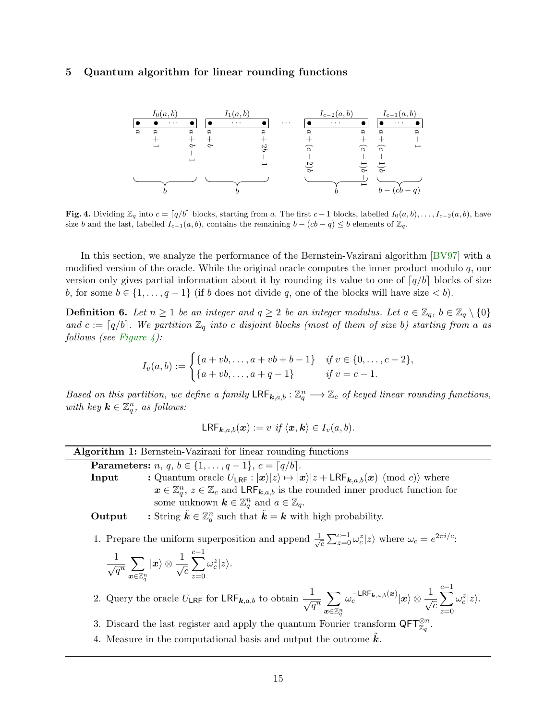## <span id="page-14-0"></span>5 Quantum algorithm for linear rounding functions



<span id="page-14-1"></span>**Fig. 4.** Dividing  $\mathbb{Z}_q$  into  $c = \lceil q/b \rceil$  blocks, starting from a. The first  $c - 1$  blocks, labelled  $I_0(a, b), \ldots, I_{c-2}(a, b)$ , have size b and the last, labelled  $I_{c-1}(a, b)$ , contains the remaining  $b - (cb - q) \leq b$  elements of  $\mathbb{Z}_q$ .

In this section, we analyze the performance of the Bernstein-Vazirani algorithm [\[BV97\]](#page-23-7) with a modified version of the oracle. While the original oracle computes the inner product modulo  $q$ , our version only gives partial information about it by rounding its value to one of  $q/b$  blocks of size b, for some  $b \in \{1, \ldots, q-1\}$  (if b does not divide q, one of the blocks will have size  $\lt b$ ).

<span id="page-14-3"></span>**Definition 6.** Let  $n \geq 1$  be an integer and  $q \geq 2$  be an integer modulus. Let  $a \in \mathbb{Z}_q$ ,  $b \in \mathbb{Z}_q \setminus \{0\}$ and  $c := \lceil q/b \rceil$ . We partition  $\mathbb{Z}_q$  into c disjoint blocks (most of them of size b) starting from a as follows (see [Figure](#page-14-1) [4\)](#page-14-1):

$$
I_v(a,b) := \begin{cases} \{a+vb,\ldots,a+vb+b-1\} & \text{if } v \in \{0,\ldots,c-2\}, \\ \{a+vb,\ldots,a+q-1\} & \text{if } v = c-1. \end{cases}
$$

Based on this partition, we define a family  $\mathsf{LRF}_{k,a,b} : \mathbb{Z}_q^n \longrightarrow \mathbb{Z}_c$  of keyed linear rounding functions, with key  $\mathbf{k} \in \mathbb{Z}_q^n$ , as follows:

$$
\mathsf{LRF}_{\mathbf{k},a,b}(\boldsymbol{x}) := v \text{ if } \langle \boldsymbol{x}, \boldsymbol{k} \rangle \in I_v(a,b).
$$

| <b>Algorithm 1:</b> Bernstein-Vazirani for linear rounding functions |  |  |  |  |  |
|----------------------------------------------------------------------|--|--|--|--|--|
|----------------------------------------------------------------------|--|--|--|--|--|

**Parameters:**  $n, q, b \in \{1, ..., q - 1\}, c = \lceil q/b \rceil$ .

**Input** : Quantum oracle  $U_{\text{LRF}} : |x\rangle |z\rangle \mapsto |x\rangle |z + \text{LRF}_{k,a,b}(x) \pmod{c}$  where  $x \in \mathbb{Z}_q^n$ ,  $z \in \mathbb{Z}_c$  and  $\mathsf{LRF}_{k,a,b}$  is the rounded inner product function for some unknown  $\mathbf{k} \in \mathbb{Z}_q^n$  and  $a \in \mathbb{Z}_q$ .

**Output** : String  $\tilde{k} \in \mathbb{Z}_q^n$  such that  $\tilde{k} = k$  with high probability.

1. Prepare the uniform superposition and append  $\frac{1}{\sqrt{2}}$  $\frac{1}{c} \sum_{z=0}^{c-1} \omega_c^z |z\rangle$  where  $\omega_c = e^{2\pi i/c}$ .

$$
\frac{1}{\sqrt{q^n}}\sum_{\boldsymbol{x}\in\mathbb{Z}_q^n}|\boldsymbol{x}\rangle\otimes\frac{1}{\sqrt{c}}\sum_{z=0}^{c-1}\omega_c^z|z\rangle.
$$

- 2. Query the oracle  $U_{\textsf{LRF}}$  for  $\textsf{LRF}_{k,a,b}$  to obtain  $\frac{1}{\sqrt{q^n}} \sum_{n \in \mathbb{Z}^n}$  $\boldsymbol{x} {\in} \mathbb{Z}_q^n$  $\omega_c^{-\mathsf{LRF}_{\bm{k},a,b}(\bm{x})}|\bm{x}\rangle\otimes\frac{1}{\sqrt{c}}$  $\sum^{c-1}$  $z=0$  $\omega_c^z |z\rangle$ .
- 3. Discard the last register and apply the quantum Fourier transform  $\mathsf{QFT}_{\mathbb{Z}_q}^{\otimes n}$ .
- <span id="page-14-2"></span>4. Measure in the computational basis and output the outcome  $\vec{k}$ .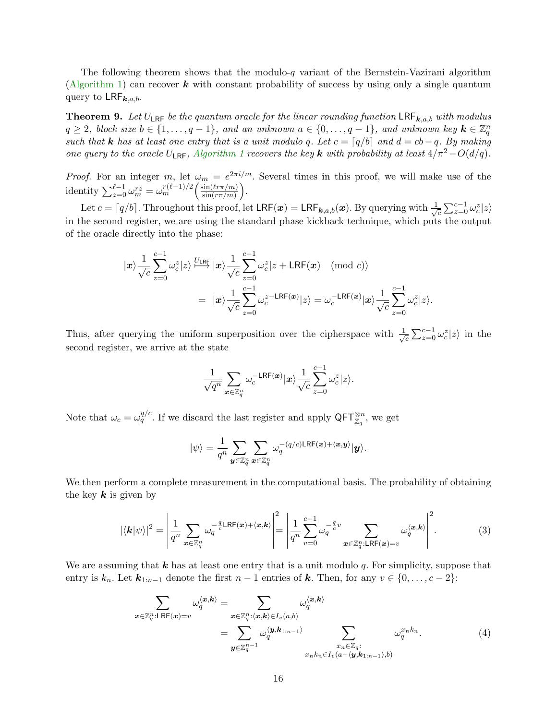<span id="page-15-2"></span>The following theorem shows that the modulo- $q$  variant of the Bernstein-Vazirani algorithm [\(Algorithm](#page-14-2) [1\)](#page-14-2) can recover  $k$  with constant probability of success by using only a single quantum query to  $LRF_{k,a,b}$ .

**Theorem 9.** Let  $U_{LRF}$  be the quantum oracle for the linear rounding function  $LRF_{k,a,b}$  with modulus  $q \geq 2$ , block size  $b \in \{1, \ldots, q-1\}$ , and an unknown  $a \in \{0, \ldots, q-1\}$ , and unknown key  $\mathbf{k} \in \mathbb{Z}_q^n$ such that **k** has at least one entry that is a unit modulo q. Let  $c = \lceil q/b \rceil$  and  $d = cb - q$ . By making one query to the oracle  $U_{LRF}$ , [Algorithm](#page-14-2) [1](#page-14-2) recovers the key k with probability at least  $4/\pi^2-O(d/q)$ .

*Proof.* For an integer m, let  $\omega_m = e^{2\pi i/m}$ . Several times in this proof, we will make use of the identity  $\sum_{z=0}^{\ell-1} \omega_m^{rz} = \omega_m^{r(\ell-1)/2} \Big( \frac{\sin(\ell r \pi/m)}{\sin(r \pi/m)} \Big)$  $\frac{\sin(\ell r\pi/m)}{\sin(r\pi/m)}\bigg).$ 

Let  $c = \lceil q/b \rceil$ . Throughout this proof, let  $LRF(x) = LRF_{k,a,b}(x)$ . By querying with  $\frac{1}{\sqrt{n}}$  $\sum_{c}^{c-1} \omega_c^z |z\rangle$ in the second register, we are using the standard phase kickback technique, which puts the output of the oracle directly into the phase:

$$
|\mathbf{x}\rangle \frac{1}{\sqrt{c}} \sum_{z=0}^{c-1} \omega_c^z |z\rangle \stackrel{U_{LRF}}{\longmapsto} |\mathbf{x}\rangle \frac{1}{\sqrt{c}} \sum_{z=0}^{c-1} \omega_c^z |z + \text{LRF}(\mathbf{x}) \pmod{c} \rangle
$$
  

$$
= |\mathbf{x}\rangle \frac{1}{\sqrt{c}} \sum_{z=0}^{c-1} \omega_c^{z - \text{LRF}(\mathbf{x})} |z\rangle = \omega_c^{- \text{LRF}(\mathbf{x})} |\mathbf{x}\rangle \frac{1}{\sqrt{c}} \sum_{z=0}^{c-1} \omega_c^z |z\rangle.
$$

Thus, after querying the uniform superposition over the cipherspace with  $\frac{1}{\sqrt{2}}$  $\sum_{z=0}^{\infty} \sum_{z=0}^{c-1} \omega_c^z |z\rangle$  in the second register, we arrive at the state

$$
\frac{1}{\sqrt{q^n}}\sum_{\bm{x}\in\mathbb{Z}_q^n}\omega_c^{-\mathsf{LRF}(\bm{x})}|\bm{x}\rangle\frac{1}{\sqrt{c}}\sum_{z=0}^{c-1}\omega_c^z|z\rangle.
$$

Note that  $\omega_c = \omega_q^{q/c}$ . If we discard the last register and apply  $\mathsf{QFT}_{\mathbb{Z}_q}^{\otimes n}$ , we get

$$
|\psi\rangle=\frac{1}{q^n}\sum_{\boldsymbol{y}\in\mathbb{Z}_q^n}\sum_{\boldsymbol{x}\in\mathbb{Z}_q^n}\omega_q^{-(q/c)\text{LRF}(\boldsymbol{x})+\langle\boldsymbol{x},\boldsymbol{y}\rangle}|\boldsymbol{y}\rangle.
$$

We then perform a complete measurement in the computational basis. The probability of obtaining the key  $k$  is given by

<span id="page-15-1"></span>
$$
|\langle \mathbf{k} | \psi \rangle|^2 = \left| \frac{1}{q^n} \sum_{\mathbf{x} \in \mathbb{Z}_q^n} \omega_q^{-\frac{q}{c} \mathsf{LRF}(\mathbf{x}) + \langle \mathbf{x}, \mathbf{k} \rangle} \right|^2 = \left| \frac{1}{q^n} \sum_{v=0}^{c-1} \omega_q^{-\frac{q}{c}v} \sum_{\mathbf{x} \in \mathbb{Z}_q^n : \mathsf{LRF}(\mathbf{x}) = v} \omega_q^{\langle \mathbf{x}, \mathbf{k} \rangle} \right|^2.
$$
 (3)

We are assuming that  $k$  has at least one entry that is a unit modulo q. For simplicity, suppose that entry is  $k_n$ . Let  $\mathbf{k}_{1:n-1}$  denote the first  $n-1$  entries of  $\mathbf{k}$ . Then, for any  $v \in \{0, \ldots, c-2\}$ :

<span id="page-15-0"></span>
$$
\sum_{\mathbf{x}\in\mathbb{Z}_q^n:\text{LRF}(\mathbf{x})=v} \omega_q^{\langle\mathbf{x},\mathbf{k}\rangle} = \sum_{\mathbf{x}\in\mathbb{Z}_q^n:\langle\mathbf{x},\mathbf{k}\rangle\in I_v(a,b)} \omega_q^{\langle\mathbf{x},\mathbf{k}\rangle}
$$
\n
$$
= \sum_{\mathbf{y}\in\mathbb{Z}_q^{n-1}} \omega_q^{\langle\mathbf{y},\mathbf{k}_{1:n-1}\rangle} \sum_{\substack{x_n\in\mathbb{Z}_q:\ x_nk_n\in I_v(a-\langle\mathbf{y},\mathbf{k}_{1:n-1}\rangle,b)}} \omega_q^{x_nk_n}.
$$
\n(4)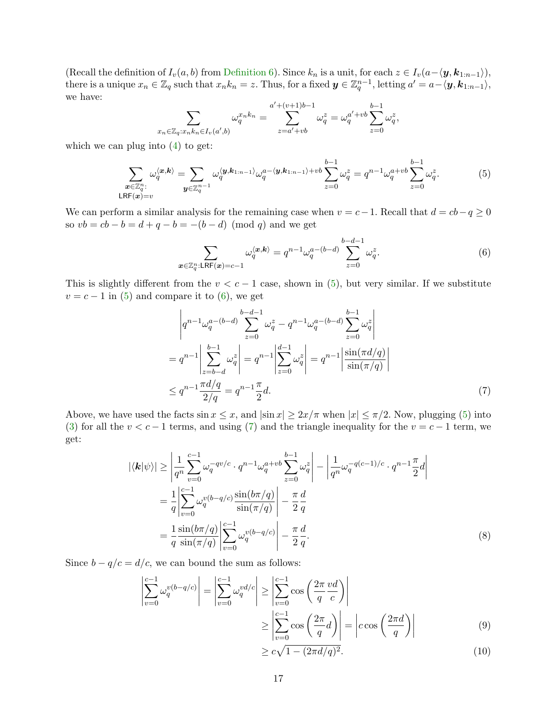(Recall the definition of  $I_v(a, b)$  from [Definition](#page-14-3) [6\)](#page-14-3). Since  $k_n$  is a unit, for each  $z \in I_v(a-\langle \mathbf{y}, \mathbf{k}_{1:n-1} \rangle)$ , there is a unique  $x_n \in \mathbb{Z}_q$  such that  $x_n k_n = z$ . Thus, for a fixed  $\mathbf{y} \in \mathbb{Z}_q^{n-1}$ , letting  $a' = a - \langle \mathbf{y}, \mathbf{k}_{1:n-1} \rangle$ , we have:

$$
\sum_{x_n \in \mathbb{Z}_q: x_n k_n \in I_v(a',b)} \omega_q^{x_n k_n} = \sum_{z=a'+vb}^{a'+(v+1)b-1} \omega_q^{z} = \omega_q^{a'+vb} \sum_{z=0}^{b-1} \omega_q^{z},
$$

which we can plug into [\(4\)](#page-15-0) to get:

<span id="page-16-0"></span>
$$
\sum_{\substack{\boldsymbol{x}\in\mathbb{Z}_q^n:\\\text{LRF}(\boldsymbol{x})=v}}\omega_q^{\langle\boldsymbol{x},\boldsymbol{k}\rangle} = \sum_{\boldsymbol{y}\in\mathbb{Z}_q^{n-1}}\omega_q^{\langle\boldsymbol{y},\boldsymbol{k}_{1:n-1}\rangle}\omega_q^{a-\langle\boldsymbol{y},\boldsymbol{k}_{1:n-1}\rangle+vb}\sum_{z=0}^{b-1}\omega_q^z = q^{n-1}\omega_q^{a+vb}\sum_{z=0}^{b-1}\omega_q^z.
$$
(5)

We can perform a similar analysis for the remaining case when  $v = c - 1$ . Recall that  $d = cb - q \ge 0$ so  $vb = cb - b = d + q - b = -(b - d) \pmod{q}$  and we get

<span id="page-16-1"></span>
$$
\sum_{\mathbf{x}\in\mathbb{Z}_q^n:\text{LRF}(\mathbf{x})=c-1}\omega_q^{\langle\mathbf{x},\mathbf{k}\rangle}=q^{n-1}\omega_q^{a-(b-d)}\sum_{z=0}^{b-d-1}\omega_q^z.
$$
(6)

This is slightly different from the  $v < c - 1$  case, shown in [\(5\)](#page-16-0), but very similar. If we substitute  $v = c - 1$  in [\(5\)](#page-16-0) and compare it to [\(6\)](#page-16-1), we get

<span id="page-16-2"></span>
$$
\begin{aligned}\n\left| q^{n-1} \omega_q^{a-(b-d)} \sum_{z=0}^{b-d-1} \omega_q^z - q^{n-1} \omega_q^{a-(b-d)} \sum_{z=0}^{b-1} \omega_q^z \right| \\
= q^{n-1} \left| \sum_{z=b-d}^{b-1} \omega_q^z \right| = q^{n-1} \left| \sum_{z=0}^{d-1} \omega_q^z \right| = q^{n-1} \left| \frac{\sin(\pi d/q)}{\sin(\pi/q)} \right| \\
\le q^{n-1} \frac{\pi d/q}{2/q} = q^{n-1} \frac{\pi}{2} d.\n\end{aligned} \tag{7}
$$

Above, we have used the facts  $\sin x \leq x$ , and  $|\sin x| \geq 2x/\pi$  when  $|x| \leq \pi/2$ . Now, plugging [\(5\)](#page-16-0) into [\(3\)](#page-15-1) for all the  $v < c - 1$  terms, and using [\(7\)](#page-16-2) and the triangle inequality for the  $v = c - 1$  term, we get:

<span id="page-16-4"></span>
$$
|\langle \mathbf{k} | \psi \rangle| \ge \left| \frac{1}{q^n} \sum_{v=0}^{c-1} \omega_q^{-qv/c} \cdot q^{n-1} \omega_q^{a+vb} \sum_{z=0}^{b-1} \omega_q^{z} \right| - \left| \frac{1}{q^n} \omega_q^{-q(c-1)/c} \cdot q^{n-1} \frac{\pi}{2} d \right|
$$
  
=  $\frac{1}{q} \left| \sum_{v=0}^{c-1} \omega_q^{v(b-q/c)} \frac{\sin(b\pi/q)}{\sin(\pi/q)} \right| - \frac{\pi}{2} \frac{d}{q}$   
=  $\frac{1}{q} \frac{\sin(b\pi/q)}{\sin(\pi/q)} \left| \sum_{v=0}^{c-1} \omega_q^{v(b-q/c)} \right| - \frac{\pi}{2} \frac{d}{q}.$  (8)

Since  $b - q/c = d/c$ , we can bound the sum as follows:

<span id="page-16-3"></span>
$$
\left| \sum_{v=0}^{c-1} \omega_q^{v(b-q/c)} \right| = \left| \sum_{v=0}^{c-1} \omega_q^{vd/c} \right| \ge \left| \sum_{v=0}^{c-1} \cos\left(\frac{2\pi}{q} \frac{vd}{c}\right) \right|
$$
  
 
$$
\ge \left| \sum_{v=0}^{c-1} \cos\left(\frac{2\pi}{q} d\right) \right| = \left| c \cos\left(\frac{2\pi d}{q}\right) \right|
$$
 (9)

$$
\geq c\sqrt{1 - (2\pi d/q)^2}.\tag{10}
$$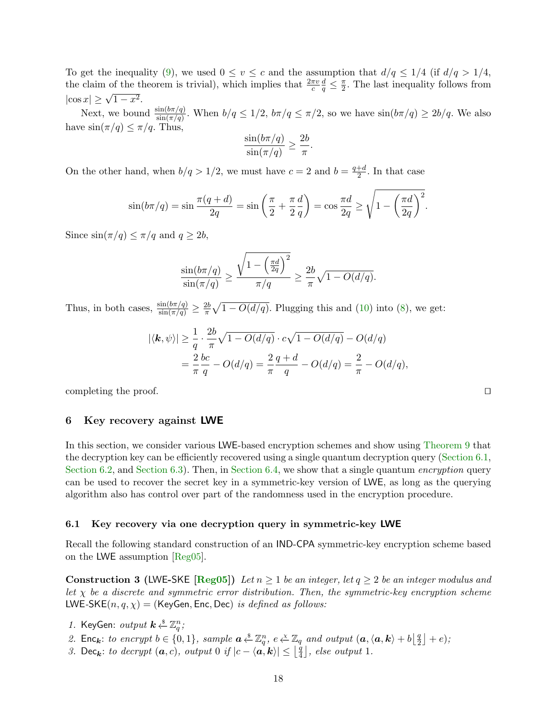To get the inequality [\(9\)](#page-16-3), we used  $0 \le v \le c$  and the assumption that  $d/q \le 1/4$  (if  $d/q > 1/4$ , the claim of the theorem is trivial), which implies that  $\frac{2\pi v}{c}$  $\frac{d}{q} \leq \frac{\pi}{2}$  $\frac{\pi}{2}$ . The last inequality follows from  $|\cos x| \geq \sqrt{1-x^2}$ .

Next, we bound  $\frac{\sin(b\pi/q)}{\sin(\pi/q)}$ . When  $b/q \le 1/2$ ,  $b\pi/q \le \pi/2$ , so we have  $\sin(b\pi/q) \ge 2b/q$ . We also have  $\sin(\pi/q) \leq \pi/q$ . Thus,

$$
\frac{\sin(b\pi/q)}{\sin(\pi/q)} \ge \frac{2b}{\pi}
$$

.

On the other hand, when  $b/q > 1/2$ , we must have  $c = 2$  and  $b = \frac{q+d}{2}$  $\frac{+a}{2}$ . In that case

$$
\sin(b\pi/q) = \sin\frac{\pi(q+d)}{2q} = \sin\left(\frac{\pi}{2} + \frac{\pi}{2}\frac{d}{q}\right) = \cos\frac{\pi d}{2q} \ge \sqrt{1 - \left(\frac{\pi d}{2q}\right)^2}.
$$

Since  $\sin(\pi/q) \leq \pi/q$  and  $q \geq 2b$ ,

$$
\frac{\sin(b\pi/q)}{\sin(\pi/q)} \ge \frac{\sqrt{1-\left(\frac{\pi d}{2q}\right)^2}}{\pi/q} \ge \frac{2b}{\pi}\sqrt{1-O(d/q)}.
$$

Thus, in both cases,  $\frac{\sin(b\pi/q)}{\sin(\pi/q)} \geq \frac{2b}{\pi}$  $\frac{2b}{\pi}\sqrt{1-O(d/q)}$ . Plugging this and [\(10\)](#page-16-3) into [\(8\)](#page-16-4), we get:

$$
|\langle \mathbf{k}, \psi \rangle| \ge \frac{1}{q} \cdot \frac{2b}{\pi} \sqrt{1 - O(d/q)} \cdot c\sqrt{1 - O(d/q)} - O(d/q)
$$
  
=  $\frac{2}{\pi} \frac{bc}{q} - O(d/q) = \frac{2}{\pi} \frac{q + d}{q} - O(d/q) = \frac{2}{\pi} - O(d/q),$ 

completing the proof.

## <span id="page-17-0"></span>6 Key recovery against LWE

In this section, we consider various LWE-based encryption schemes and show using [Theorem](#page-15-2) [9](#page-15-2) that the decryption key can be efficiently recovered using a single quantum decryption query [\(Section](#page-17-1) [6.1,](#page-17-1) [Section](#page-21-1) [6.2,](#page-18-0) and Section [6.3\)](#page-21-0). Then, in Section [6.4,](#page-21-1) we show that a single quantum *encryption* query can be used to recover the secret key in a symmetric-key version of LWE, as long as the querying algorithm also has control over part of the randomness used in the encryption procedure.

## <span id="page-17-1"></span>6.1 Key recovery via one decryption query in symmetric-key LWE

Recall the following standard construction of an IND-CPA symmetric-key encryption scheme based on the LWE assumption [\[Reg05\]](#page-24-1).

<span id="page-17-2"></span>Construction 3 (LWE-SKE [\[Reg05\]](#page-24-1)) Let  $n \geq 1$  be an integer, let  $q \geq 2$  be an integer modulus and let  $\chi$  be a discrete and symmetric error distribution. Then, the symmetric-key encryption scheme LWE-SKE $(n, q, \chi)$  = (KeyGen, Enc, Dec) is defined as follows:

- 1. KeyGen:  $output \; k \overset{\$}{\leftarrow} \mathbb{Z}_q^n;$
- 2. Enc<sub>k</sub>: to encrypt  $b \in \{0,1\}$ , sample  $a \stackrel{s}{\leftarrow} \mathbb{Z}_q^n$ ,  $e \stackrel{\chi}{\leftarrow} \mathbb{Z}_q$  and output  $(a, \langle a, k \rangle + b \begin{bmatrix} \frac{a}{2} \end{bmatrix}$  $\frac{q}{2}$  | + e);
- 3. Dec<sub>k</sub>: to decrypt  $(a, c)$ , output 0 if  $|c \langle a, k \rangle| \leq \lfloor \frac{a}{4} \rfloor$  $\lfloor \frac{q}{4} \rfloor$ , else output 1.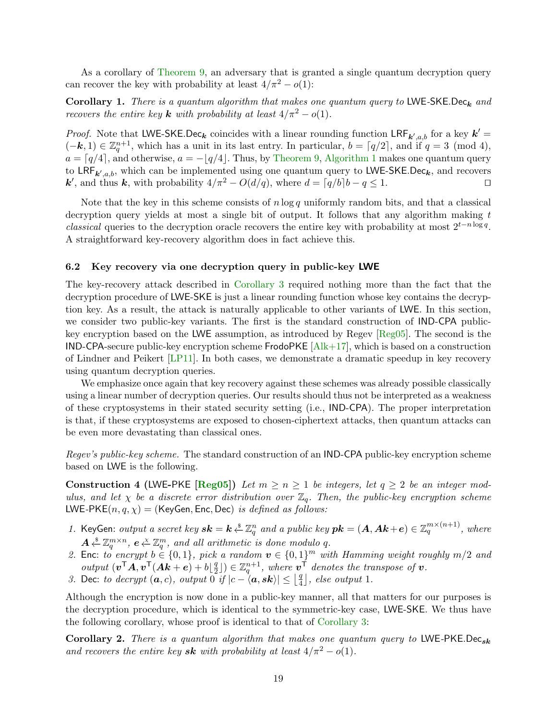As a corollary of [Theorem](#page-15-2) [9,](#page-15-2) an adversary that is granted a single quantum decryption query can recover the key with probability at least  $4/\pi^2 - o(1)$ :

Corollary 1. There is a quantum algorithm that makes one quantum query to LWE-SKE.Dec<sub>k</sub> and recovers the entire key **k** with probability at least  $4/\pi^2 - o(1)$ .

*Proof.* Note that LWE-SKE.Dec<sub>k</sub> coincides with a linear rounding function  $LRF_{k',a,b}$  for a key  $k' =$  $(-k, 1) \in \mathbb{Z}_q^{n+1}$ , which has a unit in its last entry. In particular,  $b = \lceil q/2 \rceil$ , and if  $q = 3 \pmod{4}$ ,  $a = \lfloor q/4 \rfloor$ , and otherwise,  $a = -\lfloor q/4 \rfloor$ . Thus, by [Theorem](#page-15-2) [9,](#page-15-2) [Algorithm](#page-14-2) [1](#page-14-2) makes one quantum query to LRF<sub>k',a,b</sub>, which can be implemented using one quantum query to LWE-SKE.Dec<sub>k</sub>, and recovers **k'**, and thus **k**, with probability  $4/\pi^2 - O(d/q)$ , where  $d = \lceil q/b \rceil b - q \leq 1$ . □

Note that the key in this scheme consists of  $n \log q$  uniformly random bits, and that a classical decryption query yields at most a single bit of output. It follows that any algorithm making  $t$ classical queries to the decryption oracle recovers the entire key with probability at most  $2^{t-n\log q}$ . A straightforward key-recovery algorithm does in fact achieve this.

## <span id="page-18-0"></span>6.2 Key recovery via one decryption query in public-key LWE

The key-recovery attack described in [Corollary](#page-21-2) [3](#page-21-2) required nothing more than the fact that the decryption procedure of LWE-SKE is just a linear rounding function whose key contains the decryption key. As a result, the attack is naturally applicable to other variants of LWE. In this section, we consider two public-key variants. The first is the standard construction of IND-CPA publickey encryption based on the LWE assumption, as introduced by Regev [\[Reg05\]](#page-24-1). The second is the IND-CPA-secure public-key encryption scheme  $FrodoPKE$   $[Alk+17]$ , which is based on a construction of Lindner and Peikert [\[LP11\]](#page-24-9). In both cases, we demonstrate a dramatic speedup in key recovery using quantum decryption queries.

We emphasize once again that key recovery against these schemes was already possible classically using a linear number of decryption queries. Our results should thus not be interpreted as a weakness of these cryptosystems in their stated security setting (i.e., IND-CPA). The proper interpretation is that, if these cryptosystems are exposed to chosen-ciphertext attacks, then quantum attacks can be even more devastating than classical ones.

Regev's public-key scheme. The standard construction of an IND-CPA public-key encryption scheme based on LWE is the following.

**Construction 4 (LWE-PKE [\[Reg05\]](#page-24-1))** Let  $m \geq n \geq 1$  be integers, let  $q \geq 2$  be an integer modulus, and let  $\chi$  be a discrete error distribution over  $\mathbb{Z}_q$ . Then, the public-key encryption scheme LWE-PKE $(n, q, \chi)$  = (KeyGen, Enc, Dec) is defined as follows:

- 1. KeyGen: output a secret key  $sk = k \overset{s}{\leftarrow} \mathbb{Z}_q^n$  and a public key  $pk = (A, Ak+e) \in \mathbb{Z}_q^{m \times (n+1)}$ , where  $A \overset{\hspace{0.1em}\mathsf{\scriptscriptstyle\$}}{\leftarrow} \mathbb{Z}_q^{m \times n}, \ e \overset{\hspace{0.1em}\mathsf{\scriptscriptstyle\$}}{\leftarrow} \mathbb{Z}_q^m, \ and \ all \ arithmetic \ is \ done \ modulo \ q.$
- 2. Enc: to encrypt  $b \in \{0,1\}$ , pick a random  $v \in \{0,1\}^m$  with Hamming weight roughly  $m/2$  and output  $(\boldsymbol{v}^\mathsf{T}\boldsymbol{A}, \boldsymbol{v}^\mathsf{T}(\boldsymbol{A}\boldsymbol{k}+\boldsymbol{e})+b|\frac{q}{2})$  $\{\frac{q}{2}\}\in\mathbb{Z}_q^{n+1}$ , where  $v^{\dagger}$  denotes the transpose of  $v$ .
- 3. Dec: to decrypt  $(a, c)$ , output  $0 \text{ if } |c \langle a, sk \rangle| \leq \left| \frac{q}{4} \right|$  $\lfloor \frac{q}{4} \rfloor$ , else output 1.

Although the encryption is now done in a public-key manner, all that matters for our purposes is the decryption procedure, which is identical to the symmetric-key case, LWE-SKE. We thus have the following corollary, whose proof is identical to that of [Corollary](#page-21-2) [3:](#page-21-2)

Corollary 2. There is a quantum algorithm that makes one quantum query to LWE-PKE.Dec<sub>sk</sub> and recovers the entire key sk with probability at least  $4/\pi^2 - o(1)$ .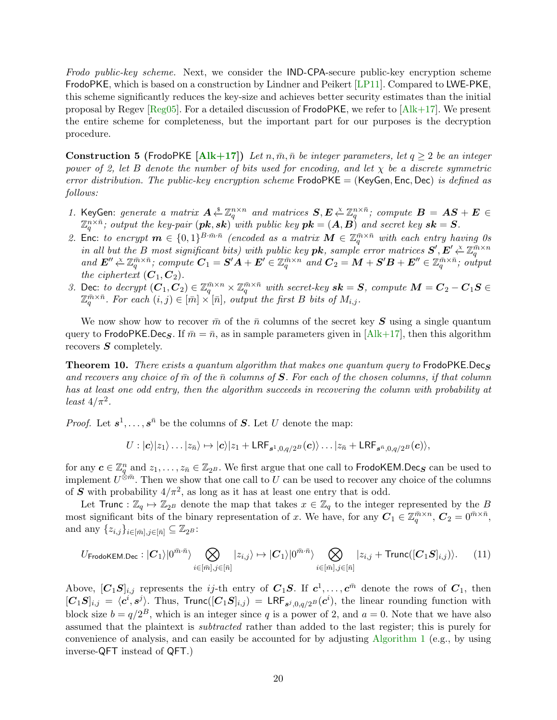Frodo public-key scheme. Next, we consider the IND-CPA-secure public-key encryption scheme FrodoPKE, which is based on a construction by Lindner and Peikert [\[LP11\]](#page-24-9). Compared to LWE-PKE, this scheme significantly reduces the key-size and achieves better security estimates than the initial proposal by Regev [\[Reg05\]](#page-24-1). For a detailed discussion of FrodoPKE, we refer to [\[Alk+17\]](#page-22-0). We present the entire scheme for completeness, but the important part for our purposes is the decryption procedure.

Construction 5 (FrodoPKE [\[Alk+17\]](#page-22-0)) Let n,  $\bar{m}$ ,  $\bar{n}$  be integer parameters, let  $q \geq 2$  be an integer power of 2, let B denote the number of bits used for encoding, and let  $\chi$  be a discrete symmetric error distribution. The public-key encryption scheme  $FrodoPKE = (KeyGen, Enc, Dec)$  is defined as follows:

- 1. KeyGen: generate a matrix  $A \xleftarrow{\$} \mathbb{Z}_q^{n \times n}$  and matrices  $S, E \xleftarrow{\{X\}} \mathbb{Z}_q^{n \times \bar{n}}$ ; compute  $B = AS + E \in$  $\mathbb{Z}_q^{n\times \bar{n}}$ ; output the key-pair  $(\bm{pk} ,\bm{sk})^{\bar{\imath}}$  with public key  $\bm{pk} = (\bm{A}, \bm{B})^{\bar{\imath}}$  and secret key  $\bm{sk} = \bm{S}.$
- 2. Enc: to encrypt  $\mathbf{m} \in \{0,1\}^{B \cdot \bar{m} \cdot \bar{n}}$  (encoded as a matrix  $\mathbf{M} \in \mathbb{Z}_q^{\bar{m} \times \bar{n}}$  with each entry having 0s in all but the B most significant bits) with public key  $\bm{pk}$ , sample error matrices  $\bm{S}', \bm{E}' \overset{\times}{\leftarrow} \mathbb{Z}_q^{\bar{m} \times \bar{n}}$ , compute  $\bm{C}_1 = \bm{S}'\bm{A} + \bm{E}' \in \mathbb{Z}_q^{\bar{m} \times \bar{n}}$  and  $\bm{C}_2 = \bm{M} + \bm{S}'\bm{B} + \bm{E}'' \$ the ciphertext  $(C_1, C_2)$ .
- 3. Dec: to decrypt  $(C_1, C_2) \in \mathbb{Z}_q^{\bar{m} \times n} \times \mathbb{Z}_q^{\bar{m} \times \bar{n}}$  with secret-key  $sk = S$ , compute  $M = C_2 C_1S \in \mathbb{Z}_q^{\bar{m} \times n}$  $\mathbb{Z}_q^{\bar{m}\times\bar{n}}$ . For each  $(i, j) \in [\bar{m}]\times[\bar{n}]$ , output the first B bits of  $M_{i,j}$ .

We now show how to recover  $\bar{m}$  of the  $\bar{n}$  columns of the secret key S using a single quantum query to FrodoPKE.Dec<sub>S</sub>. If  $\bar{m} = \bar{n}$ , as in sample parameters given in [\[Alk+17\]](#page-22-0), then this algorithm recovers  $S$  completely.

**Theorem 10.** There exists a quantum algorithm that makes one quantum query to FrodoPKE.Decs and recovers any choice of  $\bar{m}$  of the  $\bar{n}$  columns of S. For each of the chosen columns, if that column has at least one odd entry, then the algorithm succeeds in recovering the column with probability at least  $4/\pi^2$ .

*Proof.* Let  $s^1, \ldots, s^{\bar{n}}$  be the columns of S. Let U denote the map:

$$
U: |\mathbf{c}\rangle |z_1\rangle \dots |z_{\bar{n}}\rangle \mapsto |\mathbf{c}\rangle |z_1 + \mathsf{LRF}_{s^1,0,q/2^B}(\mathbf{c})\rangle \dots |z_{\bar{n}} + \mathsf{LRF}_{s^{\bar{n}},0,q/2^B}(\mathbf{c})\rangle,
$$

for any  $c \in \mathbb{Z}_q^n$  and  $z_1, \ldots, z_{\bar{n}} \in \mathbb{Z}_{2^B}$ . We first argue that one call to FrodoKEM.Dec<sub>S</sub> can be used to implement  $U^{\hat{\otimes} \bar{m}}$ . Then we show that one call to U can be used to recover any choice of the columns of S with probability  $4/\pi^2$ , as long as it has at least one entry that is odd.

Let Trunc :  $\mathbb{Z}_q \mapsto \mathbb{Z}_{2^B}$  denote the map that takes  $x \in \mathbb{Z}_q$  to the integer represented by the B most significant bits of the binary representation of x. We have, for any  $C_1 \in \mathbb{Z}_q^{\bar{m}\times n}$ ,  $C_2 = 0^{\bar{m}\times \bar{n}}$ , and any  $\{z_{i,j}\}_{i\in[\bar{m}],j\in[\bar{n}]} \subseteq \mathbb{Z}_{2^B}$ :

<span id="page-19-0"></span>
$$
U_{\mathsf{FrodoKEM,Dec}}: |\mathcal{C}_1\rangle|0^{\bar{m}\cdot\bar{n}}\rangle \bigotimes_{i\in[\bar{m}],j\in[\bar{n}]} |z_{i,j}\rangle \mapsto |\mathcal{C}_1\rangle|0^{\bar{m}\cdot\bar{n}}\rangle \bigotimes_{i\in[\bar{m}],j\in[\bar{n}]} |z_{i,j} + \mathsf{Trunc}([\mathcal{C}_1\mathcal{S}]_{i,j})\rangle. \tag{11}
$$

Above,  $[C_1S]_{i,j}$  represents the *ij*-th entry of  $C_1S$ . If  $c^1, \ldots, c^{\bar{m}}$  denote the rows of  $C_1$ , then  $[C_1S]_{i,j} = \langle c^i, s^j \rangle$ . Thus, Trunc $([C_1S]_{i,j}) = \text{LRF}_{s^j,0,q/2^B}(c^i)$ , the linear rounding function with block size  $b = q/2^B$ , which is an integer since q is a power of 2, and  $a = 0$ . Note that we have also assumed that the plaintext is subtracted rather than added to the last register; this is purely for convenience of analysis, and can easily be accounted for by adjusting [Algorithm](#page-14-2) [1](#page-14-2) (e.g., by using inverse-QFT instead of QFT.)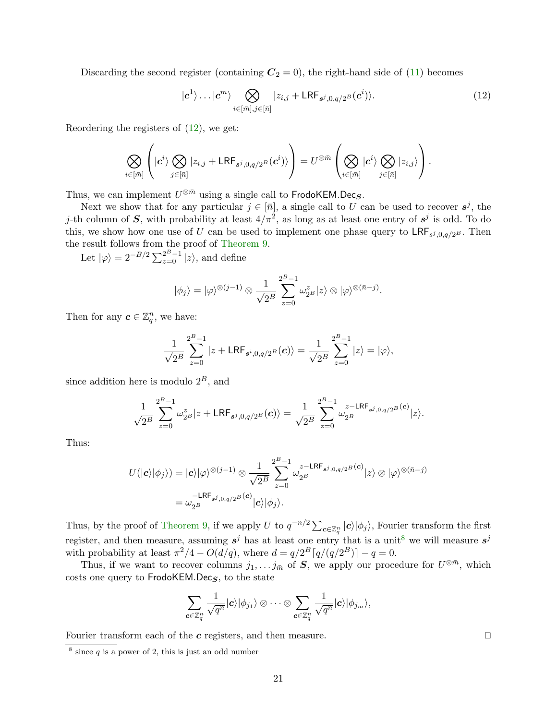Discarding the second register (containing  $C_2 = 0$ ), the right-hand side of [\(11\)](#page-19-0) becomes

<span id="page-20-0"></span>
$$
|c^1\rangle \dots |c^{\bar{m}}\rangle \bigotimes_{i \in [\bar{m}], j \in [\bar{n}]} |z_{i,j} + \mathsf{LRF}_{s^j, 0, q/2^B}(c^i)\rangle. \tag{12}
$$

Reordering the registers of  $(12)$ , we get:

$$
\bigotimes_{i\in[\bar{m}]} \left( |c^i\rangle \bigotimes_{j\in[\bar{n}]} |z_{i,j} + \mathsf{LRF}_{s^j,0,q/2^B}(c^i)\rangle \right) = U^{\otimes \bar{m}} \left( \bigotimes_{i\in[\bar{m}]} |c^i\rangle \bigotimes_{j\in[\bar{n}]} |z_{i,j}\rangle \right).
$$

Thus, we can implement  $U^{\otimes \bar{m}}$  using a single call to FrodoKEM.Dec<sub>S</sub>.

Next we show that for any particular  $j \in [\bar{n}]$ , a single call to U can be used to recover  $s^j$ , the j-th column of S, with probability at least  $4/\pi^2$ , as long as at least one entry of  $s^j$  is odd. To do this, we show how one use of U can be used to implement one phase query to  $\mathsf{LRF}_{s^j,0,q/2^B}$ . Then the result follows from the proof of [Theorem](#page-15-2) [9.](#page-15-2)

Let  $|\varphi\rangle = 2^{-B/2} \sum_{z=0}^{2^B-1} |z\rangle$ , and define

$$
|\phi_j\rangle = |\varphi\rangle^{\otimes (j-1)} \otimes \frac{1}{\sqrt{2^B}} \sum_{z=0}^{2^B-1} \omega_{2^B}^z |z\rangle \otimes |\varphi\rangle^{\otimes (\bar{n}-j)}.
$$

Then for any  $\boldsymbol{c} \in \mathbb{Z}_q^n$ , we have:

$$
\frac{1}{\sqrt{2^B}} \sum_{z=0}^{2^B-1} |z + \mathsf{LRF}_{s^i, 0, q/2^B}(\mathbf{c})\rangle = \frac{1}{\sqrt{2^B}} \sum_{z=0}^{2^B-1} |z\rangle = |\varphi\rangle,
$$

since addition here is modulo  $2^B$ , and

$$
\frac{1}{\sqrt{2^B}}\sum_{z=0}^{2^B-1}\omega_{2^B}^z|z+\text{LRF}_{s^j,0,q/2^B}(\boldsymbol{c})\rangle=\frac{1}{\sqrt{2^B}}\sum_{z=0}^{2^B-1}\omega_{2^B}^{z-\text{LRF}_{s^j,0,q/2^B}(\boldsymbol{c})}|z\rangle.
$$

Thus:

$$
U(|c\rangle|\phi_j\rangle) = |c\rangle|\varphi\rangle^{\otimes(j-1)} \otimes \frac{1}{\sqrt{2^B}} \sum_{z=0}^{2^B-1} \omega_{2^B}^{z-\text{LRF}_{s^j,0,q/2^B}(c)} |z\rangle \otimes |\varphi\rangle^{\otimes(\bar{n}-j)}
$$
  
=  $\omega_{2^B}^{-\text{LRF}_{s^j,0,q/2^B}(c)} |c\rangle |\phi_j\rangle.$ 

Thus, by the proof of [Theorem](#page-15-2) [9,](#page-15-2) if we apply U to  $q^{-n/2} \sum_{c \in \mathbb{Z}_q^n} |c\rangle |\phi_j\rangle$ , Fourier transform the first register, and then measure, assuming  $s^j$  has at least one entry that is a unit<sup>[8](#page-20-1)</sup> we will measure  $s^j$ with probability at least  $\pi^2/4 - O(d/q)$ , where  $d = q/2^B \lceil q/(q/2^B) \rceil - q = 0$ .

Thus, if we want to recover columns  $j_1, \ldots j_{\bar{m}}$  of S, we apply our procedure for  $U^{\otimes \bar{m}}$ , which costs one query to FrodoKEM.Dec $<sub>S</sub>$ , to the state</sub>

$$
\sum_{\boldsymbol{c}\in\mathbb{Z}_q^n}\frac{1}{\sqrt{q^n}}|\boldsymbol{c}\rangle|\phi_{j_1}\rangle\otimes\cdots\otimes\sum_{\boldsymbol{c}\in\mathbb{Z}_q^n}\frac{1}{\sqrt{q^n}}|\boldsymbol{c}\rangle|\phi_{j_{\bar{m}}}\rangle,
$$

Fourier transform each of the  $c$  registers, and then measure.  $\square$ 

<span id="page-20-1"></span> $8 \text{ since } q \text{ is a power of } 2$ , this is just an odd number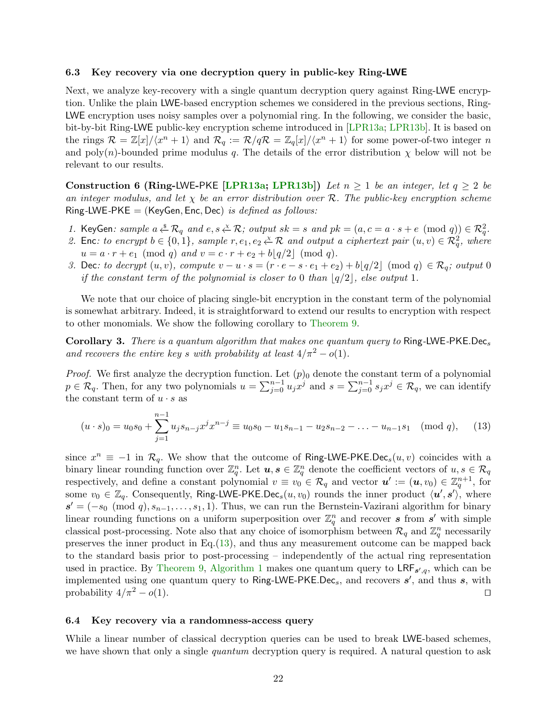#### <span id="page-21-0"></span>6.3 Key recovery via one decryption query in public-key Ring-LWE

Next, we analyze key-recovery with a single quantum decryption query against Ring-LWE encryption. Unlike the plain LWE-based encryption schemes we considered in the previous sections, Ring-LWE encryption uses noisy samples over a polynomial ring. In the following, we consider the basic, bit-by-bit Ring-LWE public-key encryption scheme introduced in [\[LPR13a;](#page-24-10) [LPR13b\]](#page-24-11). It is based on the rings  $\mathcal{R} = \mathbb{Z}[x]/\langle x^n + 1 \rangle$  and  $\mathcal{R}_q := \mathcal{R}/q\mathcal{R} = \mathbb{Z}_q[x]/\langle x^n + 1 \rangle$  for some power-of-two integer n and poly(n)-bounded prime modulus q. The details of the error distribution  $\chi$  below will not be relevant to our results.

Construction 6 (Ring-LWE-PKE [\[LPR13a;](#page-24-10) [LPR13b\]](#page-24-11)) Let  $n \geq 1$  be an integer, let  $q \geq 2$  be an integer modulus, and let  $\chi$  be an error distribution over R. The public-key encryption scheme Ring-LWE-PKE = (KeyGen, Enc, Dec) is defined as follows:

- 1. KeyGen: sample  $a \stackrel{s}{\leftarrow} \mathcal{R}_q$  and  $e, s \stackrel{x}{\leftarrow} \mathcal{R}$ ; output  $sk = s$  and  $pk = (a, c = a \cdot s + e \pmod{q}) \in \mathcal{R}_q^2$ .
- 2. Enc: to encrypt  $b \in \{0, 1\}$ , sample  $r, e_1, e_2 \overset{\chi}{\leftarrow} \mathcal{R}$  and output a ciphertext pair  $(u, v) \in \mathcal{R}_q^2$ , where  $u = a \cdot r + e_1 \pmod{q}$  and  $v = c \cdot r + e_2 + b|q/2| \pmod{q}$ .
- 3. Dec: to decrypt  $(u, v)$ , compute  $v u \cdot s = (r \cdot e s \cdot e_1 + e_2) + b|q/2| \pmod{q} \in \mathcal{R}_q$ ; output 0 if the constant term of the polynomial is closer to 0 than  $|q/2|$ , else output 1.

We note that our choice of placing single-bit encryption in the constant term of the polynomial is somewhat arbitrary. Indeed, it is straightforward to extend our results to encryption with respect to other monomials. We show the following corollary to [Theorem](#page-15-2) [9.](#page-15-2)

Corollary 3. There is a quantum algorithm that makes one quantum query to Ring-LWE-PKE.Decs and recovers the entire key s with probability at least  $4/\pi^2 - o(1)$ .

*Proof.* We first analyze the decryption function. Let  $(p)_0$  denote the constant term of a polynomial  $p \in \mathcal{R}_q$ . Then, for any two polynomials  $u = \sum_{j=0}^{n-1} u_j x^j$  and  $s = \sum_{j=0}^{n-1} s_j x^j \in \mathcal{R}_q$ , we can identify the constant term of  $u \cdot s$  as

<span id="page-21-3"></span><span id="page-21-2"></span>
$$
(u \cdot s)_0 = u_0 s_0 + \sum_{j=1}^{n-1} u_j s_{n-j} x^j x^{n-j} \equiv u_0 s_0 - u_1 s_{n-1} - u_2 s_{n-2} - \dots - u_{n-1} s_1 \pmod{q},\tag{13}
$$

since  $x^n \equiv -1$  in  $\mathcal{R}_q$ . We show that the outcome of Ring-LWE-PKE.Dec<sub>s</sub> $(u, v)$  coincides with a binary linear rounding function over  $\mathbb{Z}_q^n$ . Let  $u, s \in \mathbb{Z}_q^n$  denote the coefficient vectors of  $u, s \in \mathcal{R}_q$ respectively, and define a constant polynomial  $v \equiv v_0 \in \mathcal{R}_q$  and vector  $u' := (u, v_0) \in \mathbb{Z}_q^{n+1}$ , for some  $v_0 \in \mathbb{Z}_q$ . Consequently, Ring-LWE-PKE.Dec<sub>s</sub> $(u, v_0)$  rounds the inner product  $\langle u', s' \rangle$ , where  $s' = (-s_0 \pmod{q}, s_{n-1}, \ldots, s_1, 1)$ . Thus, we can run the Bernstein-Vazirani algorithm for binary linear rounding functions on a uniform superposition over  $\mathbb{Z}_q^n$  and recover s from s' with simple classical post-processing. Note also that any choice of isomorphism between  $\mathcal{R}_q$  and  $\mathbb{Z}_q^n$  necessarily preserves the inner product in Eq.[\(13\)](#page-21-3), and thus any measurement outcome can be mapped back to the standard basis prior to post-processing – independently of the actual ring representation used in practice. By [Theorem](#page-15-2) [9,](#page-15-2) [Algorithm](#page-14-2) [1](#page-14-2) makes one quantum query to  $\text{LRF}_{s',q}$ , which can be implemented using one quantum query to Ring-LWE-PKE.Dec<sub>s</sub>, and recovers  $s'$ , and thus s, with probability  $4/\pi^2 - o(1)$ .

## <span id="page-21-1"></span>6.4 Key recovery via a randomness-access query

While a linear number of classical decryption queries can be used to break LWE-based schemes, we have shown that only a single *quantum* decryption query is required. A natural question to ask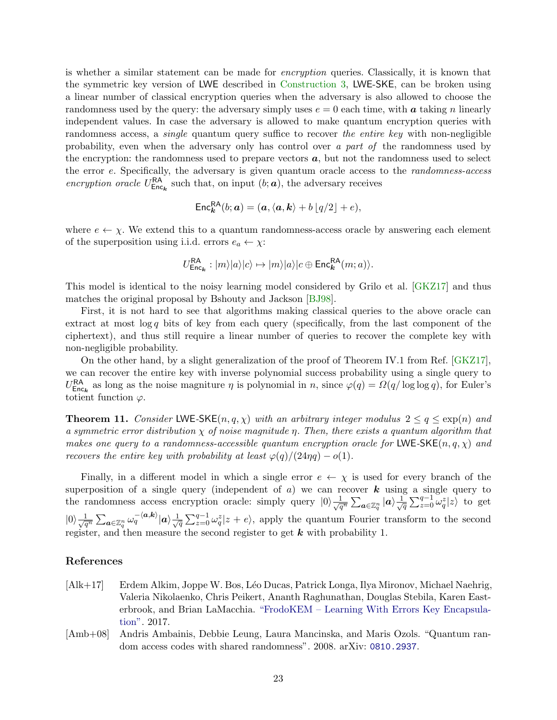is whether a similar statement can be made for encryption queries. Classically, it is known that the symmetric key version of LWE described in [Construction](#page-17-2) [3,](#page-17-2) LWE-SKE, can be broken using a linear number of classical encryption queries when the adversary is also allowed to choose the randomness used by the query: the adversary simply uses  $e = 0$  each time, with a taking n linearly independent values. In case the adversary is allowed to make quantum encryption queries with randomness access, a *single* quantum query suffice to recover the entire key with non-negligible probability, even when the adversary only has control over a part of the randomness used by the encryption: the randomness used to prepare vectors  $a$ , but not the randomness used to select the error e. Specifically, the adversary is given quantum oracle access to the randomness-access encryption oracle  $U_{\text{Enc}_k}^{\text{RA}}$  such that, on input  $(b; a)$ , the adversary receives

$$
\mathsf{Enc}_{\mathbf{k}}^{\mathsf{RA}}(b;\mathbf{a}) = (\mathbf{a}, \langle \mathbf{a}, \mathbf{k} \rangle + b \lfloor q/2 \rfloor + e),
$$

where  $e \leftarrow \chi$ . We extend this to a quantum randomness-access oracle by answering each element of the superposition using i.i.d. errors  $e_a \leftarrow \chi$ :

$$
U_{\text{Enc}_{\mathbf{k}}}^{\text{RA}} : |m\rangle|a\rangle|c\rangle \mapsto |m\rangle|a\rangle|c \oplus \text{Enc}_{\mathbf{k}}^{\text{RA}}(m;a)\rangle.
$$

This model is identical to the noisy learning model considered by Grilo et al. [\[GKZ17\]](#page-23-9) and thus matches the original proposal by Bshouty and Jackson [\[BJ98\]](#page-23-15).

First, it is not hard to see that algorithms making classical queries to the above oracle can extract at most  $\log q$  bits of key from each query (specifically, from the last component of the ciphertext), and thus still require a linear number of queries to recover the complete key with non-negligible probability.

On the other hand, by a slight generalization of the proof of Theorem IV.1 from Ref. [\[GKZ17\]](#page-23-9), we can recover the entire key with inverse polynomial success probability using a single query to  $U_{\text{Enc}_k}^{\text{RA}}$  as long as the noise magniture  $\eta$  is polynomial in n, since  $\varphi(q) = \Omega(q/\log \log q)$ , for Euler's totient function  $\varphi$ .

**Theorem 11.** Consider LWE-SKE $(n, q, \chi)$  with an arbitrary integer modulus  $2 \leq q \leq \exp(n)$  and a symmetric error distribution  $\chi$  of noise magnitude  $\eta$ . Then, there exists a quantum algorithm that makes one query to a randomness-accessible quantum encryption oracle for LWE-SKE(n, q,  $\chi$ ) and recovers the entire key with probability at least  $\varphi(q)/(24\eta q) - o(1)$ .

Finally, in a different model in which a single error  $e \leftarrow \chi$  is used for every branch of the superposition of a single query (independent of  $a$ ) we can recover  $k$  using a single query to the randomness access encryption oracle: simply query  $|0\rangle \frac{1}{\sqrt{q^n}} \sum_{a \in \mathbb{Z}_q^n} |a\rangle \frac{1}{\sqrt{q^n}}$  $\frac{1}{\overline{q}}\sum_{z=0}^{q-1} \omega_q^z |z\rangle$  to get  $|0\rangle\frac{1}{\sqrt{q^n}}\sum_{\bm{a}\in\mathbb{Z}_q^n}\omega_q^{-\langle\bm{a},\bm{k}\rangle}|\bm{a}\rangle\frac{1}{\sqrt{q^n}}$  $\frac{1}{\sqrt{q}}\sum_{z=0}^{q-1}\omega_q^z|z+e\rangle$ , apply the quantum Fourier transform to the second register, and then measure the second register to get  $k$  with probability 1.

## References

- <span id="page-22-0"></span>[Alk+17] Erdem Alkim, Joppe W. Bos, L´eo Ducas, Patrick Longa, Ilya Mironov, Michael Naehrig, Valeria Nikolaenko, Chris Peikert, Ananth Raghunathan, Douglas Stebila, Karen Easterbrook, and Brian LaMacchia. ["FrodoKEM – Learning With Errors Key Encapsula](https://frodokem.org/files/FrodoKEM-specification-20171130.pdf)[tion".](https://frodokem.org/files/FrodoKEM-specification-20171130.pdf) 2017.
- <span id="page-22-1"></span>[Amb+08] Andris Ambainis, Debbie Leung, Laura Mancinska, and Maris Ozols. "Quantum random access codes with shared randomness". 2008. arXiv: [0810.2937](http://arxiv.org/abs/0810.2937).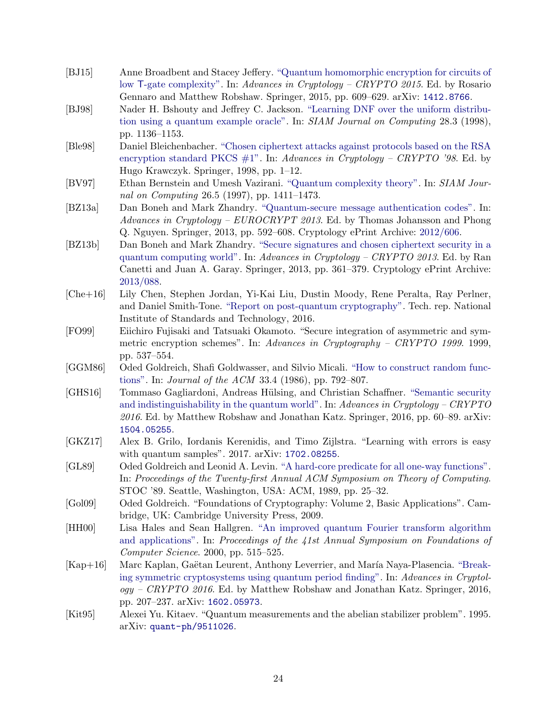- <span id="page-23-6"></span>[BJ15] Anne Broadbent and Stacey Jeffery. ["Quantum homomorphic encryption for circuits of](https://dx.doi.org/10.1007/978-3-662-48000-7_30) low T[-gate complexity".](https://dx.doi.org/10.1007/978-3-662-48000-7_30) In: Advances in Cryptology – CRYPTO 2015. Ed. by Rosario Gennaro and Matthew Robshaw. Springer, 2015, pp. 609–629. arXiv: [1412.8766](http://arxiv.org/abs/1412.8766).
- <span id="page-23-15"></span>[BJ98] Nader H. Bshouty and Jeffrey C. Jackson. ["Learning DNF over the uniform distribu](https://dx.doi.org/10.1137/S0097539795293123)[tion using a quantum example oracle".](https://dx.doi.org/10.1137/S0097539795293123) In: SIAM Journal on Computing 28.3 (1998), pp. 1136–1153.
- <span id="page-23-3"></span>[Ble98] Daniel Bleichenbacher. ["Chosen ciphertext attacks against protocols based on the RSA](https://dx.doi.org/https://doi.org/10.1007/BFb0055716) encryption standard PKCS  $\#1$ ". In: Advances in Cryptology – CRYPTO '98. Ed. by Hugo Krawczyk. Springer, 1998, pp. 1–12.
- <span id="page-23-7"></span>[BV97] Ethan Bernstein and Umesh Vazirani. ["Quantum complexity theory".](https://dx.doi.org/10.1137/S0097539796300921) In: SIAM Journal on Computing 26.5 (1997), pp. 1411–1473.
- <span id="page-23-5"></span>[BZ13a] Dan Boneh and Mark Zhandry. ["Quantum-secure message authentication codes".](https://dx.doi.org/10.1007/978-3-642-38348-9_35) In: Advances in Cryptology – EUROCRYPT 2013. Ed. by Thomas Johansson and Phong Q. Nguyen. Springer, 2013, pp. 592–608. Cryptology ePrint Archive: [2012/606.](https://eprint.iacr.org/2012/606)
- <span id="page-23-4"></span>[BZ13b] Dan Boneh and Mark Zhandry. ["Secure signatures and chosen ciphertext security in a](https://dx.doi.org/10.1007/978-3-642-40084-1_21) [quantum computing world".](https://dx.doi.org/10.1007/978-3-642-40084-1_21) In: Advances in Cryptology – CRYPTO 2013. Ed. by Ran Canetti and Juan A. Garay. Springer, 2013, pp. 361–379. Cryptology ePrint Archive: [2013/088.](https://eprint.iacr.org/2013/088)
- <span id="page-23-0"></span>[Che+16] Lily Chen, Stephen Jordan, Yi-Kai Liu, Dustin Moody, Rene Peralta, Ray Perlner, and Daniel Smith-Tone. ["Report on post-quantum cryptography".](https://dx.doi.org/10.6028/NIST.IR.8105) Tech. rep. National Institute of Standards and Technology, 2016.
- <span id="page-23-8"></span>[FO99] Eiichiro Fujisaki and Tatsuaki Okamoto. "Secure integration of asymmetric and symmetric encryption schemes". In: Advances in Cryptography – CRYPTO 1999. 1999, pp. 537–554.
- <span id="page-23-11"></span>[GGM86] Oded Goldreich, Shafi Goldwasser, and Silvio Micali. ["How to construct random func](https://dx.doi.org/10.1145/6490.6503)[tions".](https://dx.doi.org/10.1145/6490.6503) In: Journal of the ACM 33.4 (1986), pp. 792–807.
- <span id="page-23-2"></span>[GHS16] Tommaso Gagliardoni, Andreas Hülsing, and Christian Schaffner. ["Semantic security](https://dx.doi.org/10.1007/978-3-662-53015-3_3)" [and indistinguishability in the quantum world".](https://dx.doi.org/10.1007/978-3-662-53015-3_3) In: Advances in Cryptology – CRYPTO 2016. Ed. by Matthew Robshaw and Jonathan Katz. Springer, 2016, pp. 60–89. arXiv: [1504.05255](http://arxiv.org/abs/1504.05255).
- <span id="page-23-9"></span>[GKZ17] Alex B. Grilo, Iordanis Kerenidis, and Timo Zijlstra. "Learning with errors is easy with quantum samples". 2017. arXiv: [1702.08255](http://arxiv.org/abs/1702.08255).
- <span id="page-23-10"></span>[GL89] Oded Goldreich and Leonid A. Levin. ["A hard-core predicate for all one-way functions".](https://dx.doi.org/10.1145/73007.73010) In: Proceedings of the Twenty-first Annual ACM Symposium on Theory of Computing. STOC '89. Seattle, Washington, USA: ACM, 1989, pp. 25–32.
- <span id="page-23-14"></span>[Gol09] Oded Goldreich. "Foundations of Cryptography: Volume 2, Basic Applications". Cambridge, UK: Cambridge University Press, 2009.
- <span id="page-23-13"></span>[HH00] Lisa Hales and Sean Hallgren. ["An improved quantum Fourier transform algorithm](https://dx.doi.org/10.1109/SFCS.2000.892139) [and applications".](https://dx.doi.org/10.1109/SFCS.2000.892139) In: Proceedings of the 41st Annual Symposium on Foundations of Computer Science. 2000, pp. 515–525.
- <span id="page-23-1"></span>[Kap+16] Marc Kaplan, Gaëtan Leurent, Anthony Leverrier, and María Naya-Plasencia. ["Break](https://dx.doi.org/10.1007/978-3-662-53008-5_8)[ing symmetric cryptosystems using quantum period finding".](https://dx.doi.org/10.1007/978-3-662-53008-5_8) In: Advances in Cryptol $oqy - CRYPTO$  2016. Ed. by Matthew Robshaw and Jonathan Katz. Springer, 2016, pp. 207–237. arXiv: [1602.05973](http://arxiv.org/abs/1602.05973).
- <span id="page-23-12"></span>[Kit95] Alexei Yu. Kitaev. "Quantum measurements and the abelian stabilizer problem". 1995. arXiv: [quant-ph/9511026](http://arxiv.org/abs/quant-ph/9511026).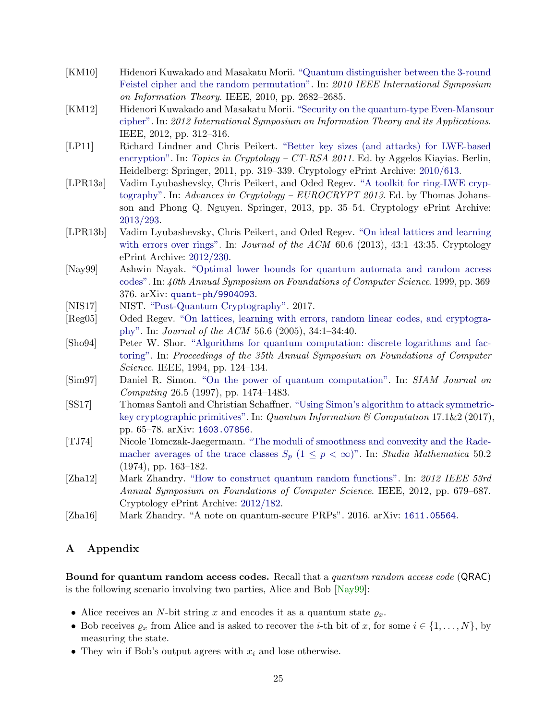- <span id="page-24-3"></span>[KM10] Hidenori Kuwakado and Masakatu Morii. ["Quantum distinguisher between the 3-round](https://dx.doi.org/10.1109/ISIT.2010.5513654) [Feistel cipher and the random permutation".](https://dx.doi.org/10.1109/ISIT.2010.5513654) In: 2010 IEEE International Symposium on Information Theory. IEEE, 2010, pp. 2682–2685.
- <span id="page-24-4"></span>[KM12] Hidenori Kuwakado and Masakatu Morii. ["Security on the quantum-type Even-Mansour](https://ieeexplore.ieee.org/document/6400943/) [cipher".](https://ieeexplore.ieee.org/document/6400943/) In: 2012 International Symposium on Information Theory and its Applications. IEEE, 2012, pp. 312–316.
- <span id="page-24-9"></span>[LP11] Richard Lindner and Chris Peikert. ["Better key sizes \(and attacks\) for LWE-based](https://dx.doi.org/10.1007/978-3-642-19074-2_21) [encryption".](https://dx.doi.org/10.1007/978-3-642-19074-2_21) In: Topics in Cryptology – CT-RSA 2011. Ed. by Aggelos Kiayias. Berlin, Heidelberg: Springer, 2011, pp. 319–339. Cryptology ePrint Archive: [2010/613.](https://eprint.iacr.org/2010/613)
- <span id="page-24-10"></span>[LPR13a] Vadim Lyubashevsky, Chris Peikert, and Oded Regev. ["A toolkit for ring-LWE cryp](https://dx.doi.org/10.1007/978-3-642-38348-9_3)[tography".](https://dx.doi.org/10.1007/978-3-642-38348-9_3) In: Advances in Cryptology –  $EUROCRYPT 2013$ . Ed. by Thomas Johansson and Phong Q. Nguyen. Springer, 2013, pp. 35–54. Cryptology ePrint Archive: [2013/293.](https://eprint.iacr.org/2013/293)
- <span id="page-24-11"></span>[LPR13b] Vadim Lyubashevsky, Chris Peikert, and Oded Regev. ["On ideal lattices and learning](https://dx.doi.org/10.1145/2535925) [with errors over rings".](https://dx.doi.org/10.1145/2535925) In: *Journal of the ACM* 60.6 (2013), 43:1–43:35. Cryptology ePrint Archive: [2012/230.](https://eprint.iacr.org/2012/230)
- <span id="page-24-12"></span>[Nay99] Ashwin Nayak. ["Optimal lower bounds for quantum automata and random access](https://dx.doi.org/10.1109/SFFCS.1999.814608) [codes".](https://dx.doi.org/10.1109/SFFCS.1999.814608) In: 40th Annual Symposium on Foundations of Computer Science. 1999, pp. 369– 376. arXiv: [quant-ph/9904093](http://arxiv.org/abs/quant-ph/9904093).
- <span id="page-24-2"></span>[NIS17] NIST. ["Post-Quantum Cryptography".](https://csrc.nist.gov/projects/post-quantum-cryptography) 2017.
- <span id="page-24-1"></span>[Reg05] Oded Regev. ["On lattices, learning with errors, random linear codes, and cryptogra](https://dx.doi.org/10.1145/1568318.1568324)[phy".](https://dx.doi.org/10.1145/1568318.1568324) In: Journal of the ACM 56.6 (2005), 34:1–34:40.
- <span id="page-24-0"></span>[Sho94] Peter W. Shor. ["Algorithms for quantum computation: discrete logarithms and fac](https://dx.doi.org/10.1109/SFCS.1994.365700)[toring".](https://dx.doi.org/10.1109/SFCS.1994.365700) In: Proceedings of the 35th Annual Symposium on Foundations of Computer Science. IEEE, 1994, pp. 124–134.
- <span id="page-24-6"></span>[Sim97] Daniel R. Simon. ["On the power of quantum computation".](https://dx.doi.org/10.1137/S0097539796298637) In: SIAM Journal on Computing 26.5 (1997), pp. 1474–1483.
- <span id="page-24-5"></span>[SS17] Thomas Santoli and Christian Schaffner. ["Using Simon's algorithm to attack symmetric](https://dx.doi.org/10.26421/QIC17.1-2)[key cryptographic primitives".](https://dx.doi.org/10.26421/QIC17.1-2) In: Quantum Information  $\mathcal{B}$  Computation 17.1&2 (2017), pp. 65–78. arXiv: [1603.07856](http://arxiv.org/abs/1603.07856).
- <span id="page-24-14"></span>[TJ74] Nicole Tomczak-Jaegermann. ["The moduli of smoothness and convexity and the Rade](http://eudml.org/doc/217886)[macher averages of the trace classes](http://eudml.org/doc/217886)  $S_p$   $(1 \leq p < \infty)$ ". In: Studia Mathematica 50.2 (1974), pp. 163–182.
- <span id="page-24-7"></span>[Zha12] Mark Zhandry. ["How to construct quantum random functions".](https://dx.doi.org/10.1109/FOCS.2012.37) In: 2012 IEEE 53rd Annual Symposium on Foundations of Computer Science. IEEE, 2012, pp. 679–687. Cryptology ePrint Archive: [2012/182.](https://eprint.iacr.org/2012/182)
- <span id="page-24-8"></span>[Zha16] Mark Zhandry. "A note on quantum-secure PRPs". 2016. arXiv: [1611.05564](http://arxiv.org/abs/1611.05564).

## A Appendix

<span id="page-24-13"></span>Bound for quantum random access codes. Recall that a quantum random access code (QRAC) is the following scenario involving two parties, Alice and Bob [\[Nay99\]](#page-24-12):

- Alice receives an N-bit string x and encodes it as a quantum state  $\varrho_x$ .
- Bob receives  $\varrho_x$  from Alice and is asked to recover the *i*-th bit of x, for some  $i \in \{1, \ldots, N\}$ , by measuring the state.
- They win if Bob's output agrees with  $x_i$  and lose otherwise.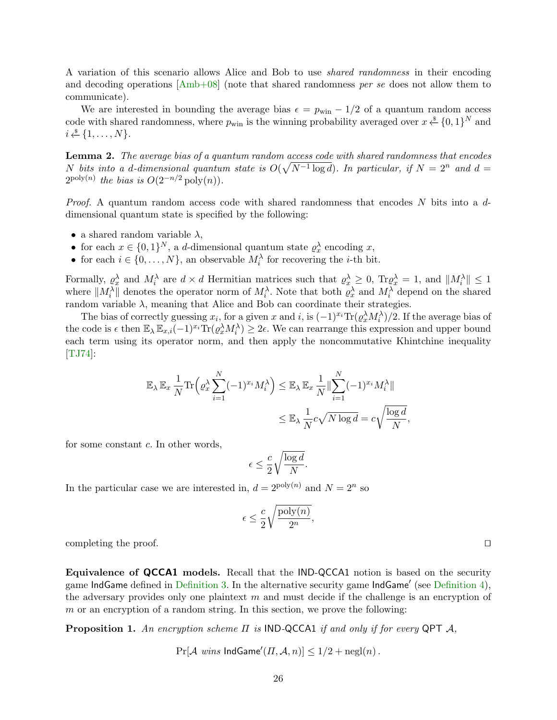A variation of this scenario allows Alice and Bob to use shared randomness in their encoding and decoding operations [\[Amb+08\]](#page-22-1) (note that shared randomness per se does not allow them to communicate).

We are interested in bounding the average bias  $\epsilon = p_{\text{win}} - 1/2$  of a quantum random access code with shared randomness, where  $p_{\text{win}}$  is the winning probability averaged over  $x \overset{\hspace{0.1em}\mathsf{\scriptscriptstyle\$}}{\leftarrow} \{0,1\}^N$  and  $i \overset{\$}{\leftarrow} \{1, \ldots, N\}.$ 

Lemma 2. The average bias of a quantum random access code with shared randomness that encodes N bits into a d-dimensional quantum state is  $O(\sqrt{N^{-1} \log d})$ . In particular, if  $N = 2^n$  and  $d =$  $2^{\text{poly}(n)}$  the bias is  $O(2^{-n/2} \text{poly}(n)).$ 

*Proof.* A quantum random access code with shared randomness that encodes N bits into a  $d$ dimensional quantum state is specified by the following:

- a shared random variable  $\lambda$ ,
- for each  $x \in \{0,1\}^N$ , a d-dimensional quantum state  $\rho_x^{\lambda}$  encoding x,
- for each  $i \in \{0, ..., N\}$ , an observable  $M_i^{\lambda}$  for recovering the *i*-th bit.

Formally,  $\rho_x^{\lambda}$  and  $M_i^{\lambda}$  are  $d \times d$  Hermitian matrices such that  $\rho_x^{\lambda} \geq 0$ ,  $\text{Tr} \rho_x^{\lambda} = 1$ , and  $||M_i^{\lambda}|| \leq 1$ where  $||M_i^{\lambda}||$  denotes the operator norm of  $M_i^{\lambda}$ . Note that both  $\varrho_x^{\lambda}$  and  $M_i^{\lambda}$  depend on the shared random variable  $\lambda$ , meaning that Alice and Bob can coordinate their strategies.

The bias of correctly guessing  $x_i$ , for a given x and i, is  $(-1)^{x_i} \text{Tr}(\varrho_x^{\lambda} M_i^{\lambda})/2$ . If the average bias of the code is  $\epsilon$  then  $\mathbb{E}_{\lambda} \mathbb{E}_{x,i}(-1)^{x_i} \text{Tr}(\varrho_x^{\lambda} M_i^{\lambda}) \geq 2\epsilon$ . We can rearrange this expression and upper bound each term using its operator norm, and then apply the noncommutative Khintchine inequality [\[TJ74\]](#page-24-14):

$$
\mathbb{E}_{\lambda} \mathbb{E}_{x} \frac{1}{N} \text{Tr} \left( \varrho_{x}^{\lambda} \sum_{i=1}^{N} (-1)^{x_{i}} M_{i}^{\lambda} \right) \leq \mathbb{E}_{\lambda} \mathbb{E}_{x} \frac{1}{N} \|\sum_{i=1}^{N} (-1)^{x_{i}} M_{i}^{\lambda} \|
$$
  

$$
\leq \mathbb{E}_{\lambda} \frac{1}{N} c \sqrt{N \log d} = c \sqrt{\frac{\log d}{N}},
$$

for some constant  $c$ . In other words,

$$
\epsilon \leq \frac{c}{2} \sqrt{\frac{\log d}{N}}.
$$

In the particular case we are interested in,  $d = 2^{\text{poly}(n)}$  and  $N = 2^n$  so

$$
\epsilon \leq \frac{c}{2} \sqrt{\frac{\mathrm{poly}(n)}{2^n}},
$$

completing the proof.  $\Box$ 

<span id="page-25-0"></span>Equivalence of QCCA1 models. Recall that the IND-QCCA1 notion is based on the security game IndGame defined in [Definition](#page-7-0) [3.](#page-7-1) In the alternative security game IndGame' (see Definition [4\)](#page-7-0), the adversary provides only one plaintext m and must decide if the challenge is an encryption of  $m$  or an encryption of a random string. In this section, we prove the following:

**Proposition 1.** An encryption scheme  $\Pi$  is IND-QCCA1 if and only if for every QPT  $\mathcal{A}$ ,

 $Pr[\mathcal{A} \text{ wins } \mathsf{IndGame}'(H, \mathcal{A}, n)] \leq 1/2 + negl(n)$ .